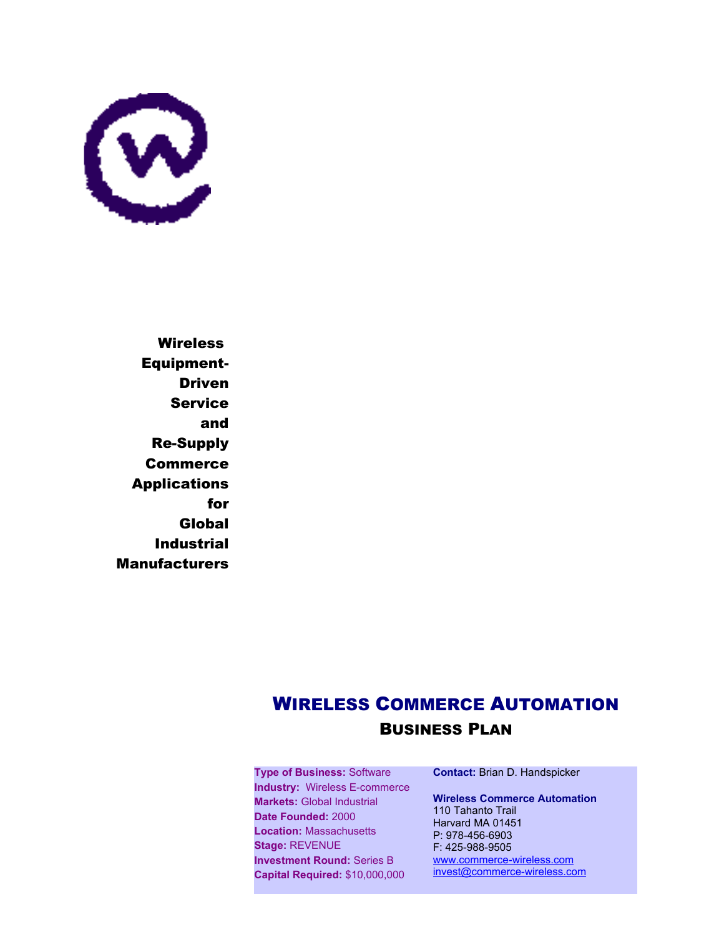

**Wireless** Equipment-Driven Service and Re-Supply **Commerce** Applications for Global Industrial Manufacturers

# WIRELESS COMMERCE AUTOMATION BUSINESS PLAN

**Type of Business:** Software **Industry:** Wireless E-commerce **Markets:** Global Industrial **Date Founded:** 2000 **Location:** Massachusetts **Stage:** REVENUE **Investment Round:** Series B **Capital Required:** \$10,000,000

**Contact:** Brian D. Handspicker

**Wireless Commerce Automation** 110 Tahanto Trail Harvard MA 01451 P: 978-456-6903 F: 425-988-9505 [www.commerce-wireless.com](http://www.commerce-wireless.com/) [invest@commerce-wireless.com](mailto:invest@commerce-wireless.com)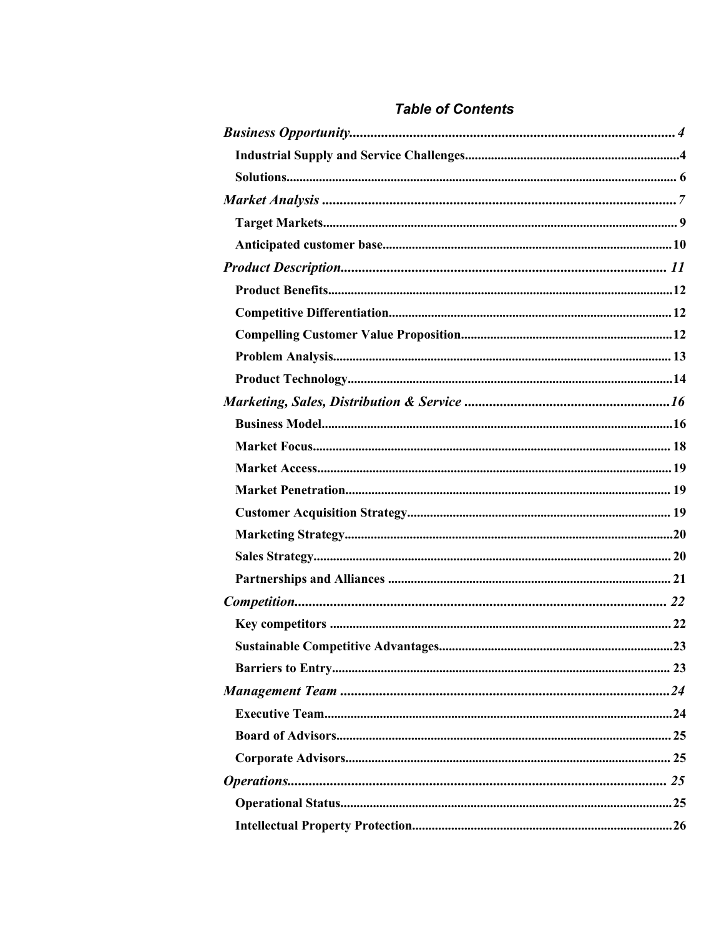# **Table of Contents**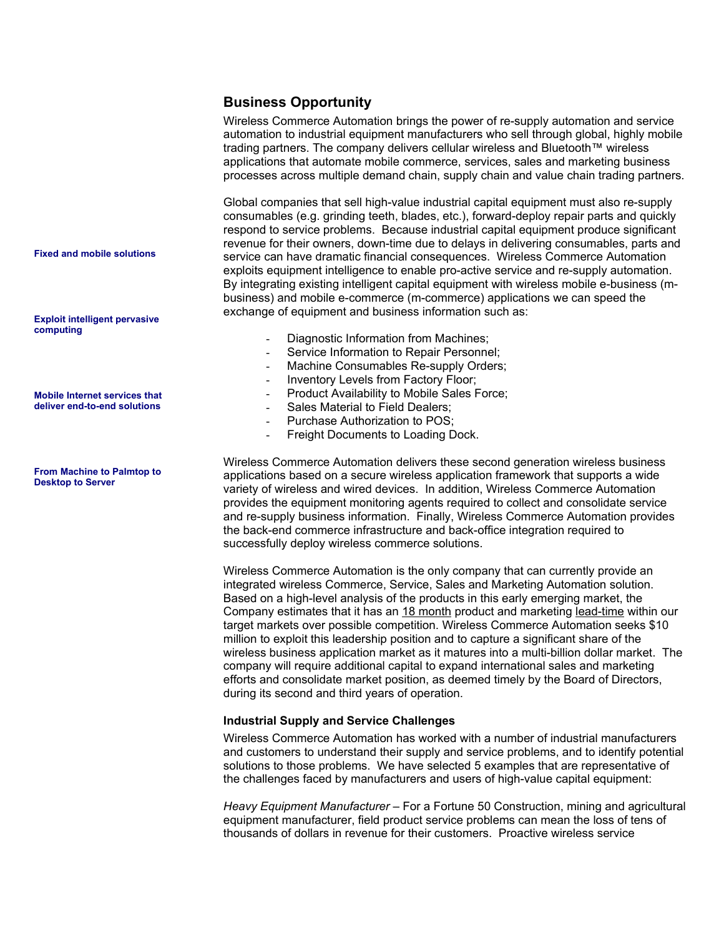# **Business Opportunity**

Wireless Commerce Automation brings the power of re-supply automation and service automation to industrial equipment manufacturers who sell through global, highly mobile trading partners. The company delivers cellular wireless and Bluetooth™ wireless applications that automate mobile commerce, services, sales and marketing business processes across multiple demand chain, supply chain and value chain trading partners.

Global companies that sell high-value industrial capital equipment must also re-supply consumables (e.g. grinding teeth, blades, etc.), forward-deploy repair parts and quickly respond to service problems. Because industrial capital equipment produce significant revenue for their owners, down-time due to delays in delivering consumables, parts and service can have dramatic financial consequences. Wireless Commerce Automation exploits equipment intelligence to enable pro-active service and re-supply automation. By integrating existing intelligent capital equipment with wireless mobile e-business (mbusiness) and mobile e-commerce (m-commerce) applications we can speed the exchange of equipment and business information such as:

- Diagnostic Information from Machines;
- Service Information to Repair Personnel;
- Machine Consumables Re-supply Orders;
- Inventory Levels from Factory Floor;
- Product Availability to Mobile Sales Force:
- Sales Material to Field Dealers;
- Purchase Authorization to POS;
- Freight Documents to Loading Dock.

Wireless Commerce Automation delivers these second generation wireless business applications based on a secure wireless application framework that supports a wide variety of wireless and wired devices. In addition, Wireless Commerce Automation provides the equipment monitoring agents required to collect and consolidate service and re-supply business information. Finally, Wireless Commerce Automation provides the back-end commerce infrastructure and back-office integration required to successfully deploy wireless commerce solutions.

Wireless Commerce Automation is the only company that can currently provide an integrated wireless Commerce, Service, Sales and Marketing Automation solution. Based on a high-level analysis of the products in this early emerging market, the Company estimates that it has an 18 month product and marketing lead-time within our target markets over possible competition. Wireless Commerce Automation seeks \$10 million to exploit this leadership position and to capture a significant share of the wireless business application market as it matures into a multi-billion dollar market. The company will require additional capital to expand international sales and marketing efforts and consolidate market position, as deemed timely by the Board of Directors, during its second and third years of operation.

### **Industrial Supply and Service Challenges**

Wireless Commerce Automation has worked with a number of industrial manufacturers and customers to understand their supply and service problems, and to identify potential solutions to those problems. We have selected 5 examples that are representative of the challenges faced by manufacturers and users of high-value capital equipment:

*Heavy Equipment Manufacturer –* For a Fortune 50 Construction, mining and agricultural equipment manufacturer, field product service problems can mean the loss of tens of thousands of dollars in revenue for their customers. Proactive wireless service

**Fixed and mobile solutions** 

**Exploit intelligent pervasive computing**

**Mobile Internet services that deliver end-to-end solutions** 

**From Machine to Palmtop to Desktop to Server**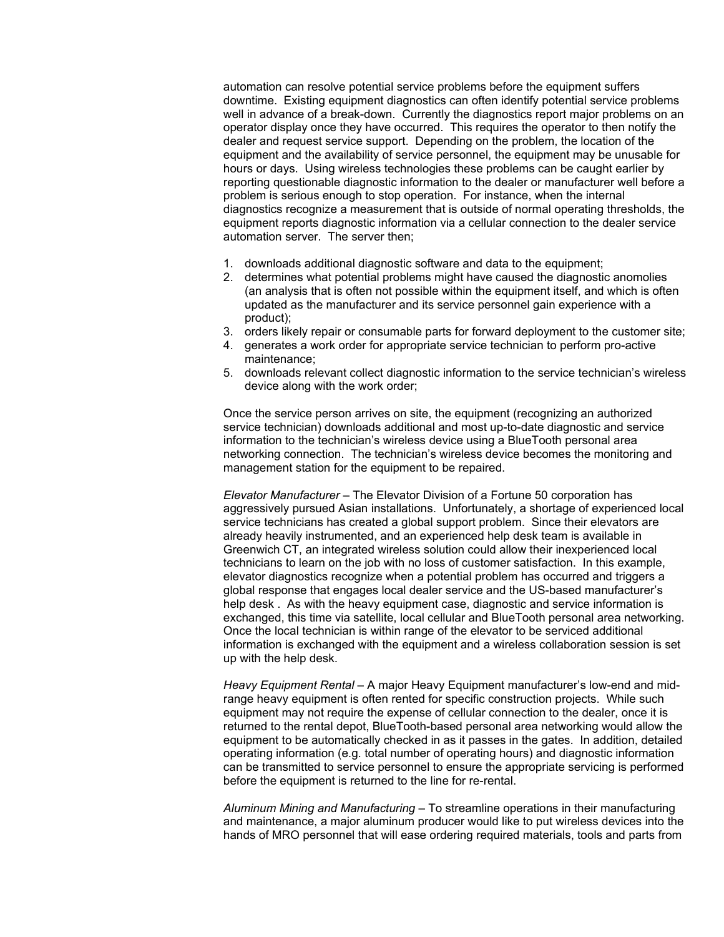automation can resolve potential service problems before the equipment suffers downtime. Existing equipment diagnostics can often identify potential service problems well in advance of a break-down. Currently the diagnostics report major problems on an operator display once they have occurred. This requires the operator to then notify the dealer and request service support. Depending on the problem, the location of the equipment and the availability of service personnel, the equipment may be unusable for hours or days. Using wireless technologies these problems can be caught earlier by reporting questionable diagnostic information to the dealer or manufacturer well before a problem is serious enough to stop operation. For instance, when the internal diagnostics recognize a measurement that is outside of normal operating thresholds, the equipment reports diagnostic information via a cellular connection to the dealer service automation server. The server then;

- 1. downloads additional diagnostic software and data to the equipment;
- 2. determines what potential problems might have caused the diagnostic anomolies (an analysis that is often not possible within the equipment itself, and which is often updated as the manufacturer and its service personnel gain experience with a product);
- 3. orders likely repair or consumable parts for forward deployment to the customer site;
- 4. generates a work order for appropriate service technician to perform pro-active maintenance;
- 5. downloads relevant collect diagnostic information to the service technician's wireless device along with the work order;

Once the service person arrives on site, the equipment (recognizing an authorized service technician) downloads additional and most up-to-date diagnostic and service information to the technician's wireless device using a BlueTooth personal area networking connection. The technician's wireless device becomes the monitoring and management station for the equipment to be repaired.

*Elevator Manufacturer –* The Elevator Division of a Fortune 50 corporation has aggressively pursued Asian installations. Unfortunately, a shortage of experienced local service technicians has created a global support problem. Since their elevators are already heavily instrumented, and an experienced help desk team is available in Greenwich CT, an integrated wireless solution could allow their inexperienced local technicians to learn on the job with no loss of customer satisfaction. In this example, elevator diagnostics recognize when a potential problem has occurred and triggers a global response that engages local dealer service and the US-based manufacturer's help desk . As with the heavy equipment case, diagnostic and service information is exchanged, this time via satellite, local cellular and BlueTooth personal area networking. Once the local technician is within range of the elevator to be serviced additional information is exchanged with the equipment and a wireless collaboration session is set up with the help desk.

*Heavy Equipment Rental –* A major Heavy Equipment manufacturer's low-end and midrange heavy equipment is often rented for specific construction projects. While such equipment may not require the expense of cellular connection to the dealer, once it is returned to the rental depot, BlueTooth-based personal area networking would allow the equipment to be automatically checked in as it passes in the gates. In addition, detailed operating information (e.g. total number of operating hours) and diagnostic information can be transmitted to service personnel to ensure the appropriate servicing is performed before the equipment is returned to the line for re-rental.

*Aluminum Mining and Manufacturing –* To streamline operations in their manufacturing and maintenance, a major aluminum producer would like to put wireless devices into the hands of MRO personnel that will ease ordering required materials, tools and parts from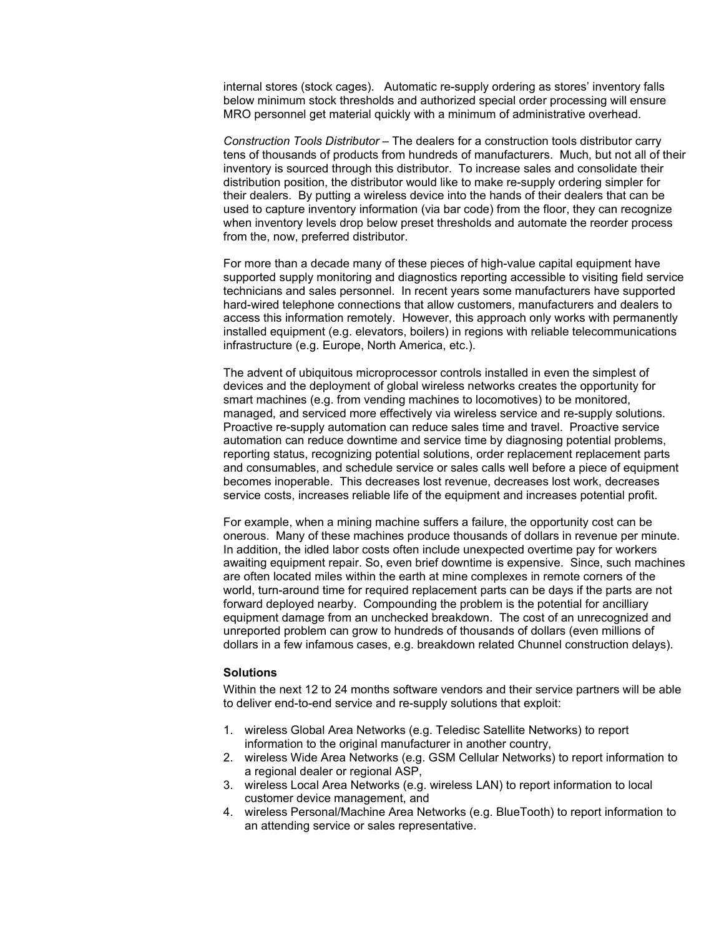internal stores (stock cages). Automatic re-supply ordering as stores' inventory falls below minimum stock thresholds and authorized special order processing will ensure MRO personnel get material quickly with a minimum of administrative overhead.

*Construction Tools Distributor –* The dealers for a construction tools distributor carry tens of thousands of products from hundreds of manufacturers. Much, but not all of their inventory is sourced through this distributor. To increase sales and consolidate their distribution position, the distributor would like to make re-supply ordering simpler for their dealers. By putting a wireless device into the hands of their dealers that can be used to capture inventory information (via bar code) from the floor, they can recognize when inventory levels drop below preset thresholds and automate the reorder process from the, now, preferred distributor.

For more than a decade many of these pieces of high-value capital equipment have supported supply monitoring and diagnostics reporting accessible to visiting field service technicians and sales personnel. In recent years some manufacturers have supported hard-wired telephone connections that allow customers, manufacturers and dealers to access this information remotely. However, this approach only works with permanently installed equipment (e.g. elevators, boilers) in regions with reliable telecommunications infrastructure (e.g. Europe, North America, etc.).

The advent of ubiquitous microprocessor controls installed in even the simplest of devices and the deployment of global wireless networks creates the opportunity for smart machines (e.g. from vending machines to locomotives) to be monitored, managed, and serviced more effectively via wireless service and re-supply solutions. Proactive re-supply automation can reduce sales time and travel. Proactive service automation can reduce downtime and service time by diagnosing potential problems, reporting status, recognizing potential solutions, order replacement replacement parts and consumables, and schedule service or sales calls well before a piece of equipment becomes inoperable. This decreases lost revenue, decreases lost work, decreases service costs, increases reliable life of the equipment and increases potential profit.

For example, when a mining machine suffers a failure, the opportunity cost can be onerous. Many of these machines produce thousands of dollars in revenue per minute. In addition, the idled labor costs often include unexpected overtime pay for workers awaiting equipment repair. So, even brief downtime is expensive. Since, such machines are often located miles within the earth at mine complexes in remote corners of the world, turn-around time for required replacement parts can be days if the parts are not forward deployed nearby. Compounding the problem is the potential for ancilliary equipment damage from an unchecked breakdown. The cost of an unrecognized and unreported problem can grow to hundreds of thousands of dollars (even millions of dollars in a few infamous cases, e.g. breakdown related Chunnel construction delays).

## **Solutions**

Within the next 12 to 24 months software vendors and their service partners will be able to deliver end-to-end service and re-supply solutions that exploit:

- 1. wireless Global Area Networks (e.g. Teledisc Satellite Networks) to report information to the original manufacturer in another country,
- 2. wireless Wide Area Networks (e.g. GSM Cellular Networks) to report information to a regional dealer or regional ASP,
- 3. wireless Local Area Networks (e.g. wireless LAN) to report information to local customer device management, and
- 4. wireless Personal/Machine Area Networks (e.g. BlueTooth) to report information to an attending service or sales representative.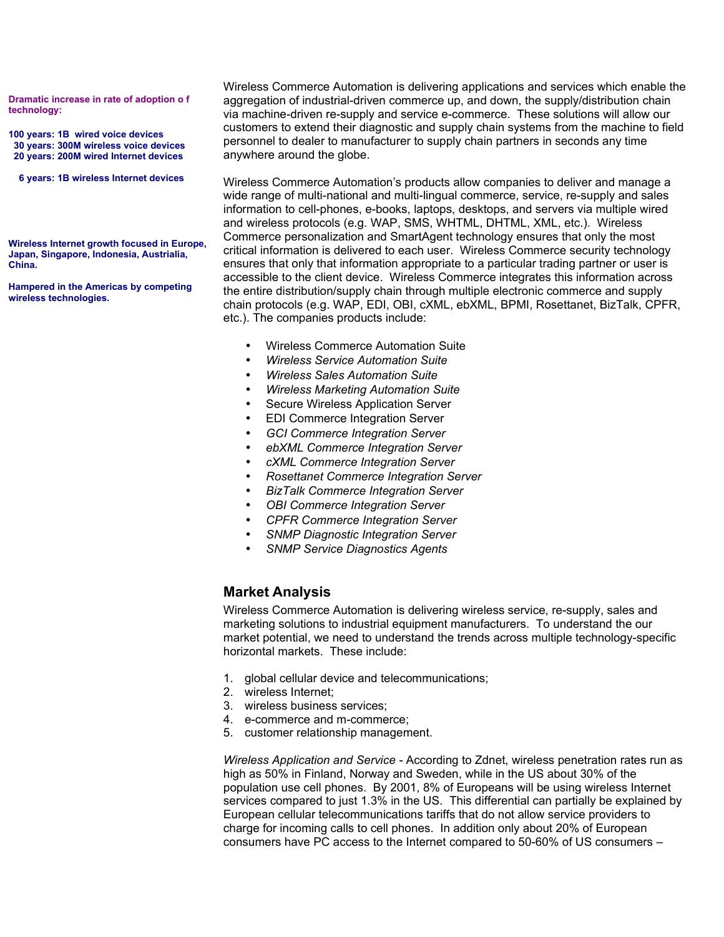**Dramatic increase in rate of adoption o f technology:**

**100 years: 1B wired voice devices 30 years: 300M wireless voice devices 20 years: 200M wired Internet devices**

**6 years: 1B wireless Internet devices**

**Wireless Internet growth focused in Europe, Japan, Singapore, Indonesia, Austrialia, China.**

**Hampered in the Americas by competing wireless technologies.**

Wireless Commerce Automation is delivering applications and services which enable the aggregation of industrial-driven commerce up, and down, the supply/distribution chain via machine-driven re-supply and service e-commerce. These solutions will allow our customers to extend their diagnostic and supply chain systems from the machine to field personnel to dealer to manufacturer to supply chain partners in seconds any time anywhere around the globe.

Wireless Commerce Automation's products allow companies to deliver and manage a wide range of multi-national and multi-lingual commerce, service, re-supply and sales information to cell-phones, e-books, laptops, desktops, and servers via multiple wired and wireless protocols (e.g. WAP, SMS, WHTML, DHTML, XML, etc.). Wireless Commerce personalization and SmartAgent technology ensures that only the most critical information is delivered to each user. Wireless Commerce security technology ensures that only that information appropriate to a particular trading partner or user is accessible to the client device. Wireless Commerce integrates this information across the entire distribution/supply chain through multiple electronic commerce and supply chain protocols (e.g. WAP, EDI, OBI, cXML, ebXML, BPMI, Rosettanet, BizTalk, CPFR, etc.). The companies products include:

- Wireless Commerce Automation Suite
- *Wireless Service Automation Suite*
- *Wireless Sales Automation Suite*
- *Wireless Marketing Automation Suite*
- Secure Wireless Application Server
- EDI Commerce Integration Server
- *GCI Commerce Integration Server*
- *ebXML Commerce Integration Server*
- *cXML Commerce Integration Server*
- *Rosettanet Commerce Integration Server*
- *BizTalk Commerce Integration Server*
- *OBI Commerce Integration Server*
- *CPFR Commerce Integration Server*
- *SNMP Diagnostic Integration Server*
- *SNMP Service Diagnostics Agents*

# **Market Analysis**

Wireless Commerce Automation is delivering wireless service, re-supply, sales and marketing solutions to industrial equipment manufacturers. To understand the our market potential, we need to understand the trends across multiple technology-specific horizontal markets. These include:

- 1. global cellular device and telecommunications;
- 2. wireless Internet;
- 3. wireless business services;
- 4. e-commerce and m-commerce;
- 5. customer relationship management.

*Wireless Application and Service -* According to Zdnet, wireless penetration rates run as high as 50% in Finland, Norway and Sweden, while in the US about 30% of the population use cell phones. By 2001, 8% of Europeans will be using wireless Internet services compared to just 1.3% in the US. This differential can partially be explained by European cellular telecommunications tariffs that do not allow service providers to charge for incoming calls to cell phones. In addition only about 20% of European consumers have PC access to the Internet compared to 50-60% of US consumers –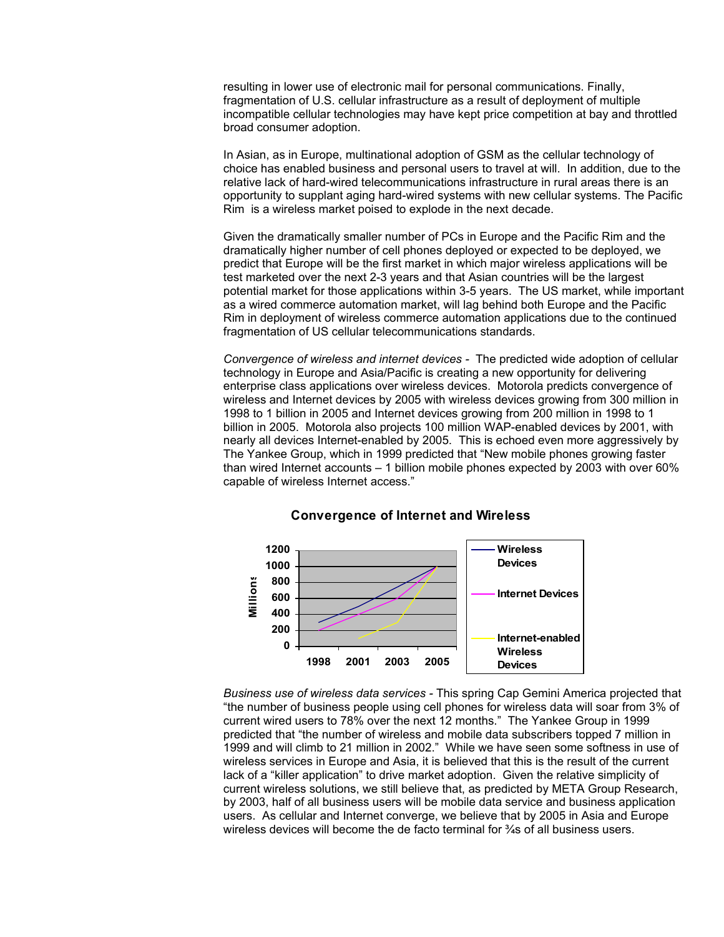resulting in lower use of electronic mail for personal communications. Finally, fragmentation of U.S. cellular infrastructure as a result of deployment of multiple incompatible cellular technologies may have kept price competition at bay and throttled broad consumer adoption.

In Asian, as in Europe, multinational adoption of GSM as the cellular technology of choice has enabled business and personal users to travel at will. In addition, due to the relative lack of hard-wired telecommunications infrastructure in rural areas there is an opportunity to supplant aging hard-wired systems with new cellular systems. The Pacific Rim is a wireless market poised to explode in the next decade.

Given the dramatically smaller number of PCs in Europe and the Pacific Rim and the dramatically higher number of cell phones deployed or expected to be deployed, we predict that Europe will be the first market in which major wireless applications will be test marketed over the next 2-3 years and that Asian countries will be the largest potential market for those applications within 3-5 years. The US market, while important as a wired commerce automation market, will lag behind both Europe and the Pacific Rim in deployment of wireless commerce automation applications due to the continued fragmentation of US cellular telecommunications standards.

*Convergence of wireless and internet devices -* The predicted wide adoption of cellular technology in Europe and Asia/Pacific is creating a new opportunity for delivering enterprise class applications over wireless devices. Motorola predicts convergence of wireless and Internet devices by 2005 with wireless devices growing from 300 million in 1998 to 1 billion in 2005 and Internet devices growing from 200 million in 1998 to 1 billion in 2005. Motorola also projects 100 million WAP-enabled devices by 2001, with nearly all devices Internet-enabled by 2005. This is echoed even more aggressively by The Yankee Group, which in 1999 predicted that "New mobile phones growing faster than wired Internet accounts – 1 billion mobile phones expected by 2003 with over 60% capable of wireless Internet access."



### **Convergence of Internet and Wireless**

*Business use of wireless data services -* This spring Cap Gemini America projected that "the number of business people using cell phones for wireless data will soar from 3% of current wired users to 78% over the next 12 months." The Yankee Group in 1999 predicted that "the number of wireless and mobile data subscribers topped 7 million in 1999 and will climb to 21 million in 2002." While we have seen some softness in use of wireless services in Europe and Asia, it is believed that this is the result of the current lack of a "killer application" to drive market adoption. Given the relative simplicity of current wireless solutions, we still believe that, as predicted by META Group Research, by 2003, half of all business users will be mobile data service and business application users. As cellular and Internet converge, we believe that by 2005 in Asia and Europe wireless devices will become the de facto terminal for  $\frac{3}{4}$ s of all business users.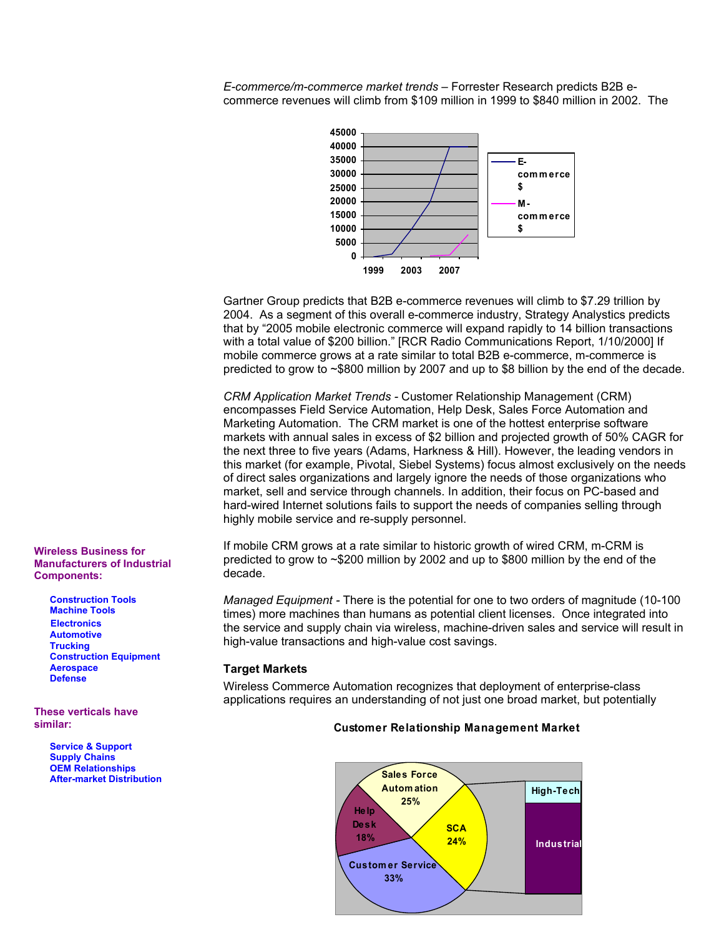*E-commerce/m-commerce market trends –* Forrester Research predicts B2B ecommerce revenues will climb from \$109 million in 1999 to \$840 million in 2002. The



Gartner Group predicts that B2B e-commerce revenues will climb to \$7.29 trillion by 2004. As a segment of this overall e-commerce industry, Strategy Analystics predicts that by "2005 mobile electronic commerce will expand rapidly to 14 billion transactions with a total value of \$200 billion." [RCR Radio Communications Report, 1/10/2000] If mobile commerce grows at a rate similar to total B2B e-commerce, m-commerce is predicted to grow to ~\$800 million by 2007 and up to \$8 billion by the end of the decade.

*CRM Application Market Trends -* Customer Relationship Management (CRM) encompasses Field Service Automation, Help Desk, Sales Force Automation and Marketing Automation. The CRM market is one of the hottest enterprise software markets with annual sales in excess of \$2 billion and projected growth of 50% CAGR for the next three to five years (Adams, Harkness & Hill). However, the leading vendors in this market (for example, Pivotal, Siebel Systems) focus almost exclusively on the needs of direct sales organizations and largely ignore the needs of those organizations who market, sell and service through channels. In addition, their focus on PC-based and hard-wired Internet solutions fails to support the needs of companies selling through highly mobile service and re-supply personnel.

If mobile CRM grows at a rate similar to historic growth of wired CRM, m-CRM is predicted to grow to ~\$200 million by 2002 and up to \$800 million by the end of the decade.

*Managed Equipment -* There is the potential for one to two orders of magnitude (10-100 times) more machines than humans as potential client licenses. Once integrated into the service and supply chain via wireless, machine-driven sales and service will result in high-value transactions and high-value cost savings.

## **Target Markets**

Wireless Commerce Automation recognizes that deployment of enterprise-class applications requires an understanding of not just one broad market, but potentially

#### **Customer Relationship Management Market**



**Wireless Business for Manufacturers of Industrial Components:**

> **Construction Tools Machine Tools Electronics Automotive Trucking Construction Equipment Aerospace Defense**

**These verticals have similar:**

> **Service & Support Supply Chains OEM Relationships After-market Distribution**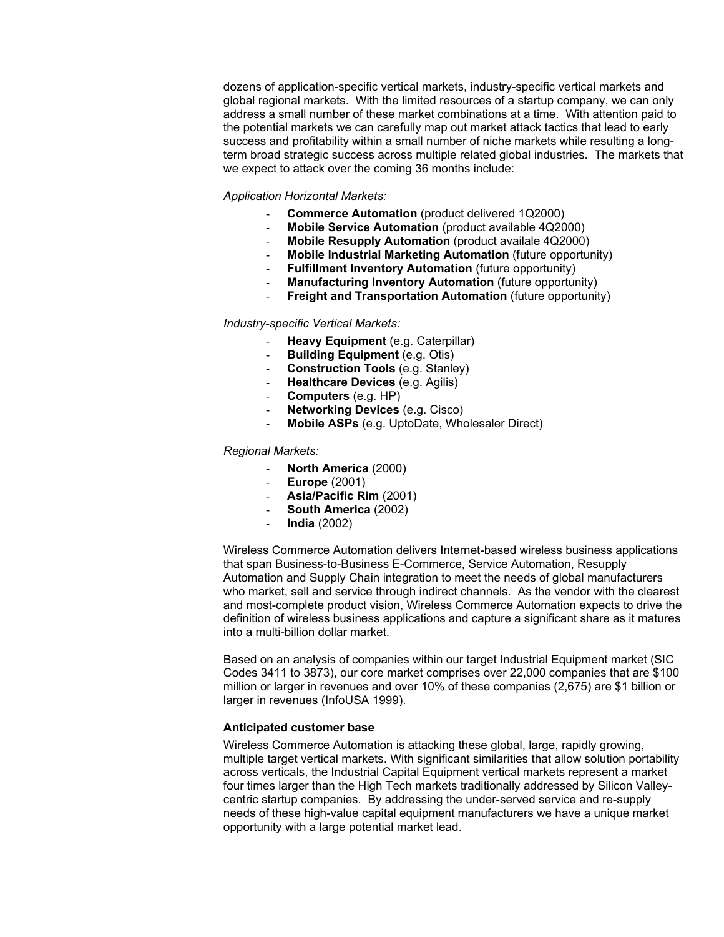dozens of application-specific vertical markets, industry-specific vertical markets and global regional markets. With the limited resources of a startup company, we can only address a small number of these market combinations at a time. With attention paid to the potential markets we can carefully map out market attack tactics that lead to early success and profitability within a small number of niche markets while resulting a longterm broad strategic success across multiple related global industries. The markets that we expect to attack over the coming 36 months include:

#### *Application Horizontal Markets:*

- **Commerce Automation** (product delivered 1Q2000)
- **Mobile Service Automation** (product available 4Q2000)
- **Mobile Resupply Automation** (product availale 4Q2000)
- **Mobile Industrial Marketing Automation** (future opportunity)
- **Fulfillment Inventory Automation** (future opportunity)
- **Manufacturing Inventory Automation** (future opportunity)
- **Freight and Transportation Automation** (future opportunity)

#### *Industry-specific Vertical Markets:*

- **Heavy Equipment** (e.g. Caterpillar)
- **Building Equipment** (e.g. Otis)
- **Construction Tools** (e.g. Stanley)
- **Healthcare Devices** (e.g. Agilis)
- **Computers** (e.g. HP)
- **Networking Devices** (e.g. Cisco)
- **Mobile ASPs** (e.g. UptoDate, Wholesaler Direct)

#### *Regional Markets:*

- **North America** (2000)
- **Europe** (2001)
- **Asia/Pacific Rim** (2001)
- **South America** (2002)
- **India** (2002)

Wireless Commerce Automation delivers Internet-based wireless business applications that span Business-to-Business E-Commerce, Service Automation, Resupply Automation and Supply Chain integration to meet the needs of global manufacturers who market, sell and service through indirect channels. As the vendor with the clearest and most-complete product vision, Wireless Commerce Automation expects to drive the definition of wireless business applications and capture a significant share as it matures into a multi-billion dollar market.

Based on an analysis of companies within our target Industrial Equipment market (SIC Codes 3411 to 3873), our core market comprises over 22,000 companies that are \$100 million or larger in revenues and over 10% of these companies (2,675) are \$1 billion or larger in revenues (InfoUSA 1999).

#### **Anticipated customer base**

Wireless Commerce Automation is attacking these global, large, rapidly growing, multiple target vertical markets. With significant similarities that allow solution portability across verticals, the Industrial Capital Equipment vertical markets represent a market four times larger than the High Tech markets traditionally addressed by Silicon Valleycentric startup companies. By addressing the under-served service and re-supply needs of these high-value capital equipment manufacturers we have a unique market opportunity with a large potential market lead.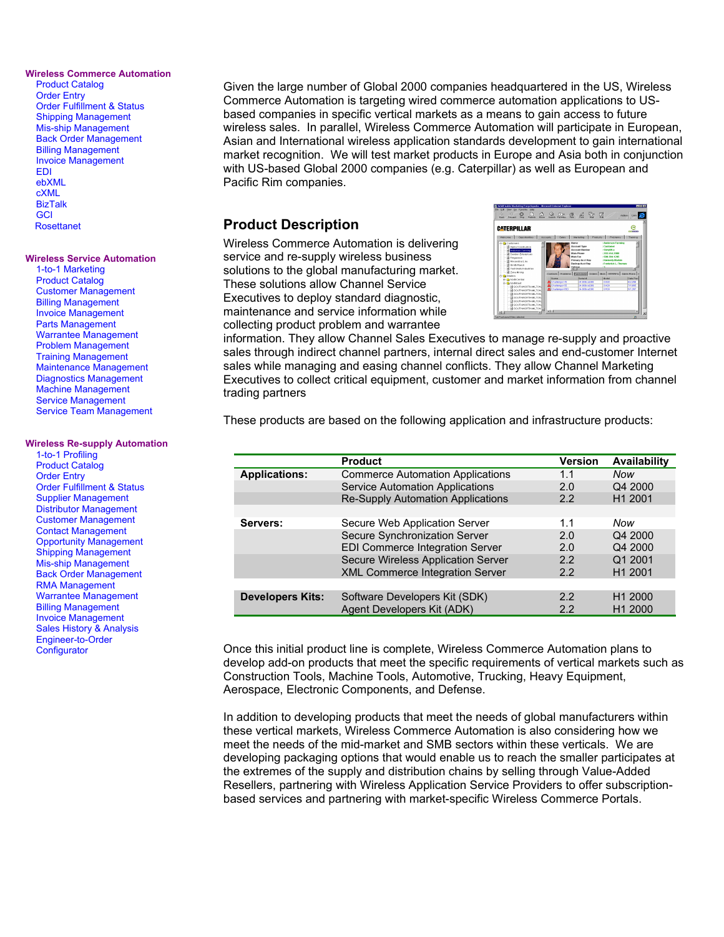#### **Wireless Commerce Automation**

Product Catalog Order Entry Order Fulfillment & Status Shipping Management Mis-ship Management Back Order Management Billing Management Invoice Management EDI ebXML cXML BizTalk **GCI** Rosettanet

#### **Wireless Service Automation**

1-to-1 Marketing Product Catalog Customer Management Billing Management Invoice Management Parts Management Warrantee Management Problem Management Training Management Maintenance Management Diagnostics Management Machine Management Service Management Service Team Management

#### **Wireless Re-supply Automation**

1-to-1 Profiling Product Catalog Order Entry Order Fulfillment & Status Supplier Management Distributor Management Customer Management Contact Management Opportunity Management Shipping Management Mis-ship Management Back Order Management RMA Management Warrantee Management Billing Management Invoice Management Sales History & Analysis Engineer-to-Order **Configurator** 

Given the large number of Global 2000 companies headquartered in the US, Wireless Commerce Automation is targeting wired commerce automation applications to USbased companies in specific vertical markets as a means to gain access to future wireless sales. In parallel, Wireless Commerce Automation will participate in European, Asian and International wireless application standards development to gain international market recognition. We will test market products in Europe and Asia both in conjunction with US-based Global 2000 companies (e.g. Caterpillar) as well as European and Pacific Rim companies.

## **Product Description**

Wireless Commerce Automation is delivering service and re-supply wireless business solutions to the global manufacturing market. These solutions allow Channel Service Executives to deploy standard diagnostic, maintenance and service information while collecting product problem and warrantee



information. They allow Channel Sales Executives to manage re-supply and proactive sales through indirect channel partners, internal direct sales and end-customer Internet sales while managing and easing channel conflicts. They allow Channel Marketing Executives to collect critical equipment, customer and market information from channel trading partners

These products are based on the following application and infrastructure products:

|                                                                 | <b>Product</b>                         | <b>Version</b> | <b>Availability</b> |
|-----------------------------------------------------------------|----------------------------------------|----------------|---------------------|
| <b>Applications:</b><br><b>Commerce Automation Applications</b> |                                        | 1.1            | Now                 |
|                                                                 | <b>Service Automation Applications</b> | 2.0            | Q4 2000             |
|                                                                 | Re-Supply Automation Applications      | 2.2            | H <sub>1</sub> 2001 |
|                                                                 |                                        |                |                     |
| Servers:                                                        | Secure Web Application Server          | 1.1            | Now                 |
|                                                                 | Secure Synchronization Server          | 2.0            | Q4 2000             |
|                                                                 | EDI Commerce Integration Server        | 2.0            | Q4 2000             |
|                                                                 | Secure Wireless Application Server     | 2.2            | Q1 2001             |
|                                                                 | <b>XML Commerce Integration Server</b> | 2.2            | H <sub>1</sub> 2001 |
|                                                                 |                                        |                |                     |
| <b>Developers Kits:</b>                                         | Software Developers Kit (SDK)          | 2.2            | H <sub>1</sub> 2000 |
|                                                                 | Agent Developers Kit (ADK)             | 2.2            | H <sub>1</sub> 2000 |
|                                                                 |                                        |                |                     |

Once this initial product line is complete, Wireless Commerce Automation plans to develop add-on products that meet the specific requirements of vertical markets such as Construction Tools, Machine Tools, Automotive, Trucking, Heavy Equipment, Aerospace, Electronic Components, and Defense.

In addition to developing products that meet the needs of global manufacturers within these vertical markets, Wireless Commerce Automation is also considering how we meet the needs of the mid-market and SMB sectors within these verticals. We are developing packaging options that would enable us to reach the smaller participates at the extremes of the supply and distribution chains by selling through Value-Added Resellers, partnering with Wireless Application Service Providers to offer subscriptionbased services and partnering with market-specific Wireless Commerce Portals.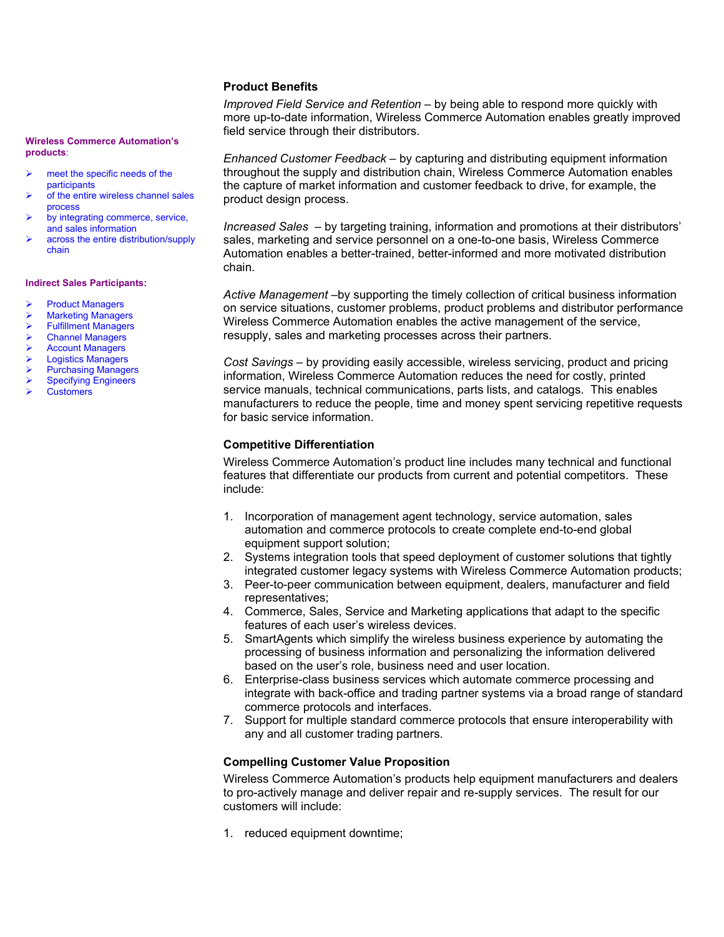#### **Product Benefits**

*Improved Field Service and Retention –* by being able to respond more quickly with more up-to-date information, Wireless Commerce Automation enables greatly improved field service through their distributors.

*Enhanced Customer Feedback –* by capturing and distributing equipment information throughout the supply and distribution chain, Wireless Commerce Automation enables the capture of market information and customer feedback to drive, for example, the product design process.

*Increased Sales –* by targeting training, information and promotions at their distributors' sales, marketing and service personnel on a one-to-one basis, Wireless Commerce Automation enables a better-trained, better-informed and more motivated distribution chain.

*Active Management –*by supporting the timely collection of critical business information on service situations, customer problems, product problems and distributor performance Wireless Commerce Automation enables the active management of the service, resupply, sales and marketing processes across their partners.

*Cost Savings –* by providing easily accessible, wireless servicing, product and pricing information, Wireless Commerce Automation reduces the need for costly, printed service manuals, technical communications, parts lists, and catalogs. This enables manufacturers to reduce the people, time and money spent servicing repetitive requests for basic service information.

### **Competitive Differentiation**

Wireless Commerce Automation's product line includes many technical and functional features that differentiate our products from current and potential competitors. These include:

- 1. Incorporation of management agent technology, service automation, sales automation and commerce protocols to create complete end-to-end global equipment support solution;
- 2. Systems integration tools that speed deployment of customer solutions that tightly integrated customer legacy systems with Wireless Commerce Automation products;
- 3. Peer-to-peer communication between equipment, dealers, manufacturer and field representatives;
- 4. Commerce, Sales, Service and Marketing applications that adapt to the specific features of each user's wireless devices.
- 5. SmartAgents which simplify the wireless business experience by automating the processing of business information and personalizing the information delivered based on the user's role, business need and user location.
- 6. Enterprise-class business services which automate commerce processing and integrate with back-office and trading partner systems via a broad range of standard commerce protocols and interfaces.
- 7. Support for multiple standard commerce protocols that ensure interoperability with any and all customer trading partners.

#### **Compelling Customer Value Proposition**

Wireless Commerce Automation's products help equipment manufacturers and dealers to pro-actively manage and deliver repair and re-supply services. The result for our customers will include:

1. reduced equipment downtime;

#### **Wireless Commerce Automation's products**:

- meet the specific needs of the participants
- of the entire wireless channel sales process
- by integrating commerce, service, and sales information
- across the entire distribution/supply chain

#### **Indirect Sales Participants:**

- Product Managers
- Marketing Managers
- Fulfillment Managers
- Channel Managers
- Account Managers
- Logistics Managers
- Purchasing Managers
- Specifying Engineers
- **Customers**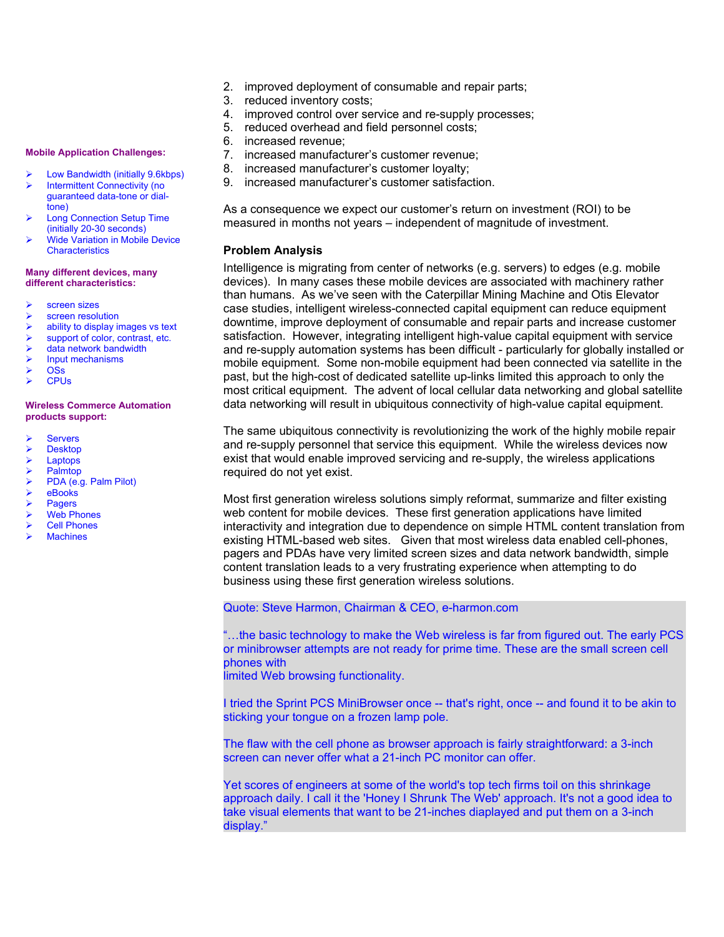- 2. improved deployment of consumable and repair parts;
- 3. reduced inventory costs;
- 4. improved control over service and re-supply processes;
- 5. reduced overhead and field personnel costs;
- 6. increased revenue;
- 7. increased manufacturer's customer revenue;
- 8. increased manufacturer's customer loyalty;
- 9. increased manufacturer's customer satisfaction.

As a consequence we expect our customer's return on investment (ROI) to be measured in months not years – independent of magnitude of investment.

#### **Problem Analysis**

Intelligence is migrating from center of networks (e.g. servers) to edges (e.g. mobile devices). In many cases these mobile devices are associated with machinery rather than humans. As we've seen with the Caterpillar Mining Machine and Otis Elevator case studies, intelligent wireless-connected capital equipment can reduce equipment downtime, improve deployment of consumable and repair parts and increase customer satisfaction. However, integrating intelligent high-value capital equipment with service and re-supply automation systems has been difficult - particularly for globally installed or mobile equipment. Some non-mobile equipment had been connected via satellite in the past, but the high-cost of dedicated satellite up-links limited this approach to only the most critical equipment. The advent of local cellular data networking and global satellite data networking will result in ubiquitous connectivity of high-value capital equipment.

The same ubiquitous connectivity is revolutionizing the work of the highly mobile repair and re-supply personnel that service this equipment. While the wireless devices now exist that would enable improved servicing and re-supply, the wireless applications required do not yet exist.

Most first generation wireless solutions simply reformat, summarize and filter existing web content for mobile devices. These first generation applications have limited interactivity and integration due to dependence on simple HTML content translation from existing HTML-based web sites. Given that most wireless data enabled cell-phones, pagers and PDAs have very limited screen sizes and data network bandwidth, simple content translation leads to a very frustrating experience when attempting to do business using these first generation wireless solutions.

#### Quote: Steve Harmon, Chairman & CEO, e-harmon.com

"…the basic technology to make the Web wireless is far from figured out. The early PCS or minibrowser attempts are not ready for prime time. These are the small screen cell phones with

limited Web browsing functionality.

I tried the Sprint PCS MiniBrowser once -- that's right, once -- and found it to be akin to sticking your tongue on a frozen lamp pole.

The flaw with the cell phone as browser approach is fairly straightforward: a 3-inch screen can never offer what a 21-inch PC monitor can offer.

Yet scores of engineers at some of the world's top tech firms toil on this shrinkage approach daily. I call it the 'Honey I Shrunk The Web' approach. It's not a good idea to take visual elements that want to be 21-inches diaplayed and put them on a 3-inch display."

#### **Mobile Application Challenges:**

- Low Bandwidth (initially 9.6kbps)
- Intermittent Connectivity (no guaranteed data-tone or dialtone)
- Long Connection Setup Time (initially 20-30 seconds)
- Wide Variation in Mobile Device **Characteristics**

#### **Many different devices, many different characteristics:**

- screen sizes
- screen resolution
- ability to display images vs text
- support of color, contrast, etc.
- data network bandwidth
- Input mechanisms
- **OSs CPUs**
- 

#### **Wireless Commerce Automation products support:**

- **Servers**
- Desktop
- Laptops
- Palmtop
- PDA (e.g. Palm Pilot)
- eBooks
- Pagers
- Web Phones
- Cell Phones
- **Machines**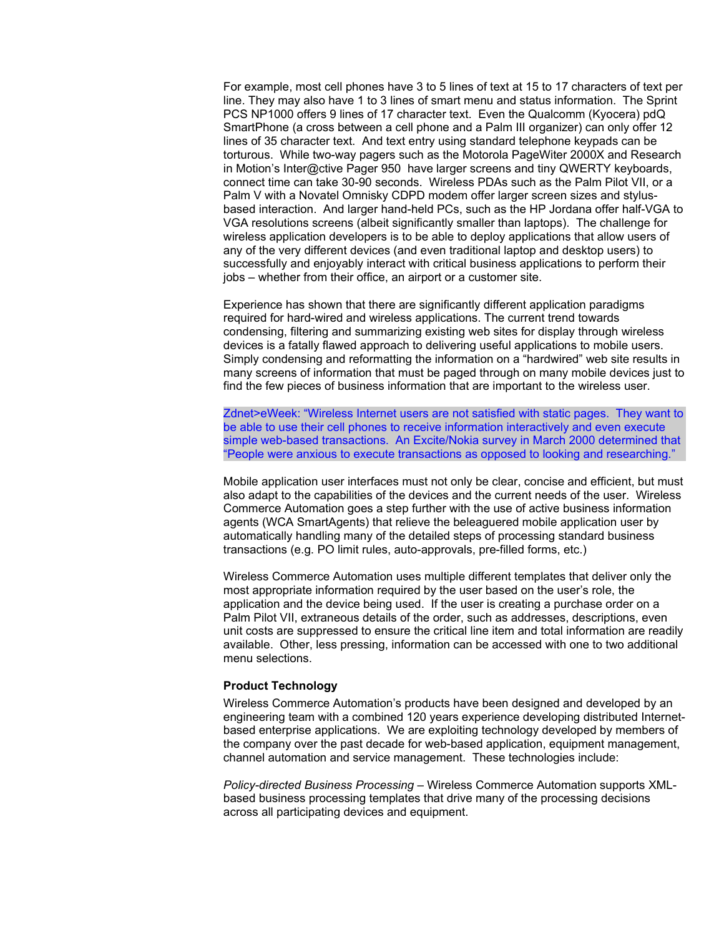For example, most cell phones have 3 to 5 lines of text at 15 to 17 characters of text per line. They may also have 1 to 3 lines of smart menu and status information. The Sprint PCS NP1000 offers 9 lines of 17 character text. Even the Qualcomm (Kyocera) pdQ SmartPhone (a cross between a cell phone and a Palm III organizer) can only offer 12 lines of 35 character text. And text entry using standard telephone keypads can be torturous. While two-way pagers such as the Motorola PageWiter 2000X and Research in Motion's Inter@ctive Pager 950 have larger screens and tiny QWERTY keyboards, connect time can take 30-90 seconds. Wireless PDAs such as the Palm Pilot VII, or a Palm V with a Novatel Omnisky CDPD modem offer larger screen sizes and stylusbased interaction. And larger hand-held PCs, such as the HP Jordana offer half-VGA to VGA resolutions screens (albeit significantly smaller than laptops). The challenge for wireless application developers is to be able to deploy applications that allow users of any of the very different devices (and even traditional laptop and desktop users) to successfully and enjoyably interact with critical business applications to perform their jobs – whether from their office, an airport or a customer site.

Experience has shown that there are significantly different application paradigms required for hard-wired and wireless applications. The current trend towards condensing, filtering and summarizing existing web sites for display through wireless devices is a fatally flawed approach to delivering useful applications to mobile users. Simply condensing and reformatting the information on a "hardwired" web site results in many screens of information that must be paged through on many mobile devices just to find the few pieces of business information that are important to the wireless user.

Zdnet>eWeek: "Wireless Internet users are not satisfied with static pages. They want to be able to use their cell phones to receive information interactively and even execute simple web-based transactions. An Excite/Nokia survey in March 2000 determined that "People were anxious to execute transactions as opposed to looking and researching."

Mobile application user interfaces must not only be clear, concise and efficient, but must also adapt to the capabilities of the devices and the current needs of the user. Wireless Commerce Automation goes a step further with the use of active business information agents (WCA SmartAgents) that relieve the beleaguered mobile application user by automatically handling many of the detailed steps of processing standard business transactions (e.g. PO limit rules, auto-approvals, pre-filled forms, etc.)

Wireless Commerce Automation uses multiple different templates that deliver only the most appropriate information required by the user based on the user's role, the application and the device being used. If the user is creating a purchase order on a Palm Pilot VII, extraneous details of the order, such as addresses, descriptions, even unit costs are suppressed to ensure the critical line item and total information are readily available. Other, less pressing, information can be accessed with one to two additional menu selections.

#### **Product Technology**

Wireless Commerce Automation's products have been designed and developed by an engineering team with a combined 120 years experience developing distributed Internetbased enterprise applications. We are exploiting technology developed by members of the company over the past decade for web-based application, equipment management, channel automation and service management. These technologies include:

*Policy-directed Business Processing –* Wireless Commerce Automation supports XMLbased business processing templates that drive many of the processing decisions across all participating devices and equipment.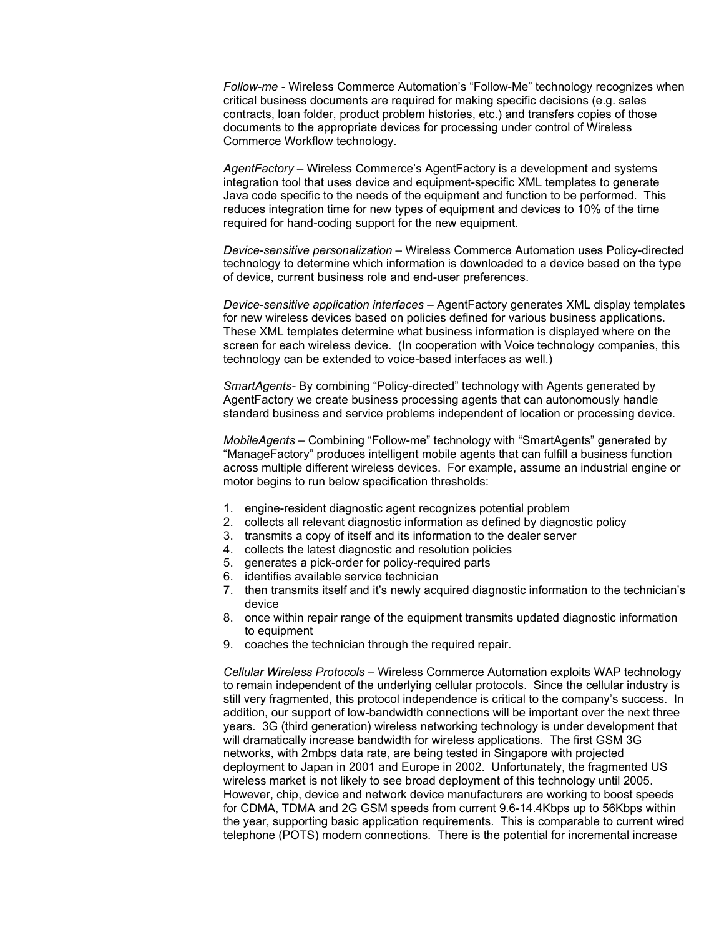*Follow-me -* Wireless Commerce Automation's "Follow-Me" technology recognizes when critical business documents are required for making specific decisions (e.g. sales contracts, loan folder, product problem histories, etc.) and transfers copies of those documents to the appropriate devices for processing under control of Wireless Commerce Workflow technology.

*AgentFactory –* Wireless Commerce's AgentFactory is a development and systems integration tool that uses device and equipment-specific XML templates to generate Java code specific to the needs of the equipment and function to be performed. This reduces integration time for new types of equipment and devices to 10% of the time required for hand-coding support for the new equipment.

*Device-sensitive personalization –* Wireless Commerce Automation uses Policy-directed technology to determine which information is downloaded to a device based on the type of device, current business role and end-user preferences.

*Device-sensitive application interfaces –* AgentFactory generates XML display templates for new wireless devices based on policies defined for various business applications. These XML templates determine what business information is displayed where on the screen for each wireless device. (In cooperation with Voice technology companies, this technology can be extended to voice-based interfaces as well.)

*SmartAgents-* By combining "Policy-directed" technology with Agents generated by AgentFactory we create business processing agents that can autonomously handle standard business and service problems independent of location or processing device.

*MobileAgents –* Combining "Follow-me" technology with "SmartAgents" generated by "ManageFactory" produces intelligent mobile agents that can fulfill a business function across multiple different wireless devices. For example, assume an industrial engine or motor begins to run below specification thresholds:

- 1. engine-resident diagnostic agent recognizes potential problem
- 2. collects all relevant diagnostic information as defined by diagnostic policy
- 3. transmits a copy of itself and its information to the dealer server
- 4. collects the latest diagnostic and resolution policies
- 5. generates a pick-order for policy-required parts
- 6. identifies available service technician
- 7. then transmits itself and it's newly acquired diagnostic information to the technician's device
- 8. once within repair range of the equipment transmits updated diagnostic information to equipment
- 9. coaches the technician through the required repair.

*Cellular Wireless Protocols –* Wireless Commerce Automation exploits WAP technology to remain independent of the underlying cellular protocols. Since the cellular industry is still very fragmented, this protocol independence is critical to the company's success. In addition, our support of low-bandwidth connections will be important over the next three years. 3G (third generation) wireless networking technology is under development that will dramatically increase bandwidth for wireless applications. The first GSM 3G networks, with 2mbps data rate, are being tested in Singapore with projected deployment to Japan in 2001 and Europe in 2002. Unfortunately, the fragmented US wireless market is not likely to see broad deployment of this technology until 2005. However, chip, device and network device manufacturers are working to boost speeds for CDMA, TDMA and 2G GSM speeds from current 9.6-14.4Kbps up to 56Kbps within the year, supporting basic application requirements. This is comparable to current wired telephone (POTS) modem connections. There is the potential for incremental increase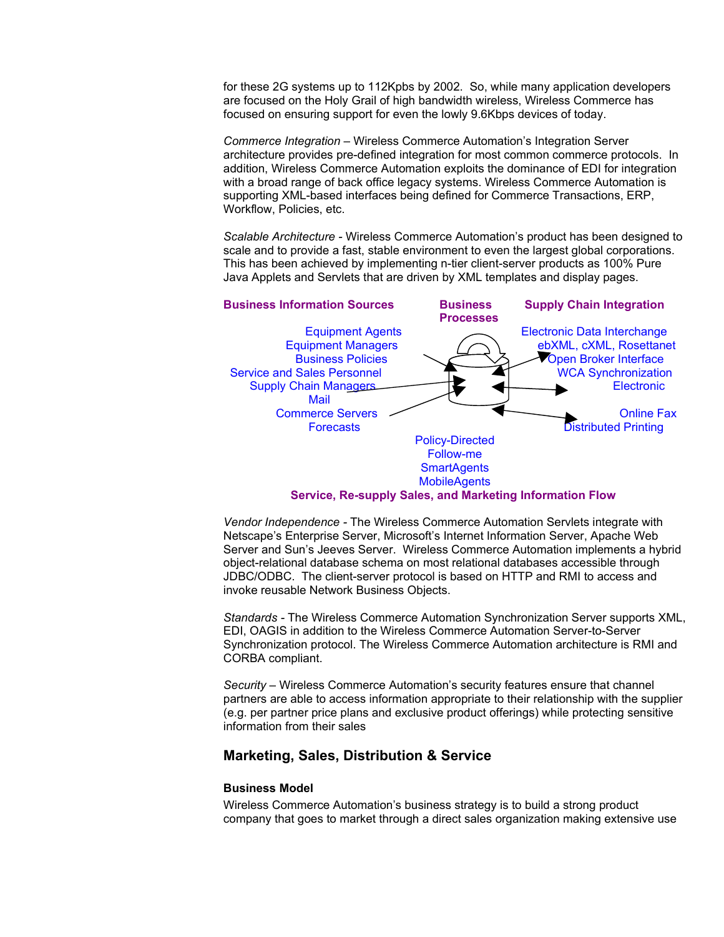for these 2G systems up to 112Kpbs by 2002. So, while many application developers are focused on the Holy Grail of high bandwidth wireless, Wireless Commerce has focused on ensuring support for even the lowly 9.6Kbps devices of today.

*Commerce Integration –* Wireless Commerce Automation's Integration Server architecture provides pre-defined integration for most common commerce protocols. In addition, Wireless Commerce Automation exploits the dominance of EDI for integration with a broad range of back office legacy systems. Wireless Commerce Automation is supporting XML-based interfaces being defined for Commerce Transactions, ERP, Workflow, Policies, etc.

*Scalable Architecture -* Wireless Commerce Automation's product has been designed to scale and to provide a fast, stable environment to even the largest global corporations. This has been achieved by implementing n-tier client-server products as 100% Pure Java Applets and Servlets that are driven by XML templates and display pages.



## **Service, Re-supply Sales, and Marketing Information Flow**

*Vendor Independence -* The Wireless Commerce Automation Servlets integrate with Netscape's Enterprise Server, Microsoft's Internet Information Server, Apache Web Server and Sun's Jeeves Server. Wireless Commerce Automation implements a hybrid object-relational database schema on most relational databases accessible through JDBC/ODBC. The client-server protocol is based on HTTP and RMI to access and invoke reusable Network Business Objects.

*Standards -* The Wireless Commerce Automation Synchronization Server supports XML, EDI, OAGIS in addition to the Wireless Commerce Automation Server-to-Server Synchronization protocol. The Wireless Commerce Automation architecture is RMI and CORBA compliant.

*Security –* Wireless Commerce Automation's security features ensure that channel partners are able to access information appropriate to their relationship with the supplier (e.g. per partner price plans and exclusive product offerings) while protecting sensitive information from their sales

# **Marketing, Sales, Distribution & Service**

#### **Business Model**

Wireless Commerce Automation's business strategy is to build a strong product company that goes to market through a direct sales organization making extensive use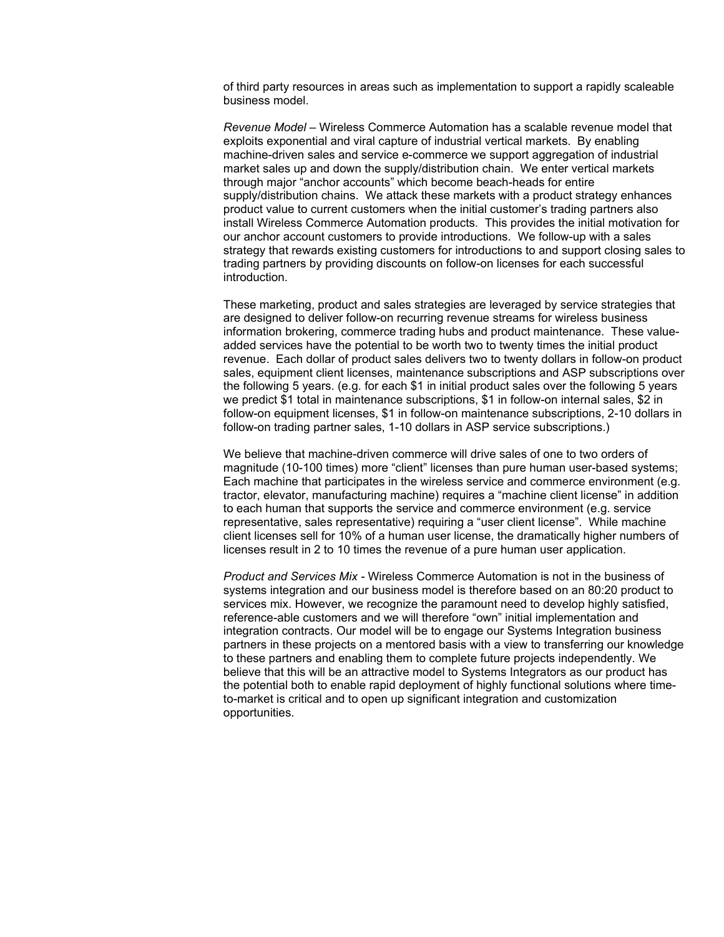of third party resources in areas such as implementation to support a rapidly scaleable business model.

*Revenue Model –* Wireless Commerce Automation has a scalable revenue model that exploits exponential and viral capture of industrial vertical markets. By enabling machine-driven sales and service e-commerce we support aggregation of industrial market sales up and down the supply/distribution chain. We enter vertical markets through major "anchor accounts" which become beach-heads for entire supply/distribution chains. We attack these markets with a product strategy enhances product value to current customers when the initial customer's trading partners also install Wireless Commerce Automation products. This provides the initial motivation for our anchor account customers to provide introductions. We follow-up with a sales strategy that rewards existing customers for introductions to and support closing sales to trading partners by providing discounts on follow-on licenses for each successful introduction.

These marketing, product and sales strategies are leveraged by service strategies that are designed to deliver follow-on recurring revenue streams for wireless business information brokering, commerce trading hubs and product maintenance. These valueadded services have the potential to be worth two to twenty times the initial product revenue. Each dollar of product sales delivers two to twenty dollars in follow-on product sales, equipment client licenses, maintenance subscriptions and ASP subscriptions over the following 5 years. (e.g. for each \$1 in initial product sales over the following 5 years we predict \$1 total in maintenance subscriptions, \$1 in follow-on internal sales, \$2 in follow-on equipment licenses, \$1 in follow-on maintenance subscriptions, 2-10 dollars in follow-on trading partner sales, 1-10 dollars in ASP service subscriptions.)

We believe that machine-driven commerce will drive sales of one to two orders of magnitude (10-100 times) more "client" licenses than pure human user-based systems; Each machine that participates in the wireless service and commerce environment (e.g. tractor, elevator, manufacturing machine) requires a "machine client license" in addition to each human that supports the service and commerce environment (e.g. service representative, sales representative) requiring a "user client license". While machine client licenses sell for 10% of a human user license, the dramatically higher numbers of licenses result in 2 to 10 times the revenue of a pure human user application.

*Product and Services Mix -* Wireless Commerce Automation is not in the business of systems integration and our business model is therefore based on an 80:20 product to services mix. However, we recognize the paramount need to develop highly satisfied, reference-able customers and we will therefore "own" initial implementation and integration contracts. Our model will be to engage our Systems Integration business partners in these projects on a mentored basis with a view to transferring our knowledge to these partners and enabling them to complete future projects independently. We believe that this will be an attractive model to Systems Integrators as our product has the potential both to enable rapid deployment of highly functional solutions where timeto-market is critical and to open up significant integration and customization opportunities.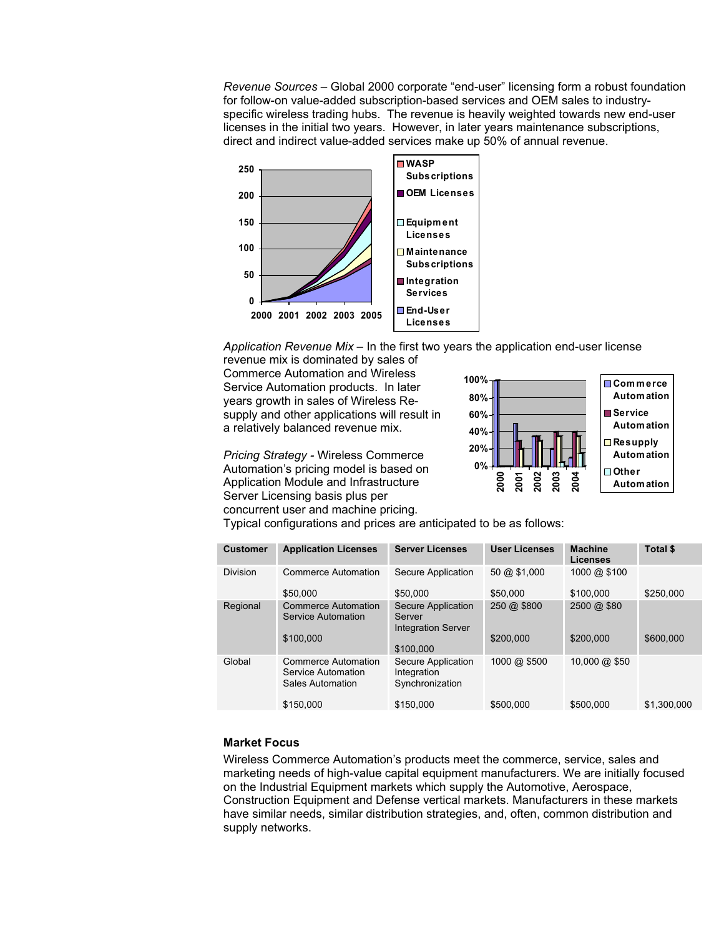*Revenue Sources –* Global 2000 corporate "end-user" licensing form a robust foundation for follow-on value-added subscription-based services and OEM sales to industryspecific wireless trading hubs. The revenue is heavily weighted towards new end-user licenses in the initial two years. However, in later years maintenance subscriptions, direct and indirect value-added services make up 50% of annual revenue.



*Application Revenue Mix –* In the first two years the application end-user license

revenue mix is dominated by sales of Commerce Automation and Wireless Service Automation products. In later years growth in sales of Wireless Resupply and other applications will result in a relatively balanced revenue mix.

*Pricing Strategy -* Wireless Commerce Automation's pricing model is based on Application Module and Infrastructure Server Licensing basis plus per concurrent user and machine pricing.



Typical configurations and prices are anticipated to be as follows:

| <b>Customer</b> | <b>Application Licenses</b>                                          | <b>Server Licenses</b>                                    | <b>User Licenses</b> | <b>Machine</b><br><b>Licenses</b> | Total \$    |
|-----------------|----------------------------------------------------------------------|-----------------------------------------------------------|----------------------|-----------------------------------|-------------|
| <b>Division</b> | Commerce Automation                                                  | Secure Application                                        | 50 @ \$1,000         | 1000 @ \$100                      |             |
|                 | \$50,000                                                             | \$50,000                                                  | \$50,000             | \$100.000                         | \$250,000   |
| Regional        | <b>Commerce Automation</b><br>Service Automation                     | Secure Application<br>Server<br><b>Integration Server</b> | 250 @ \$800          | 2500 @ \$80                       |             |
|                 | \$100,000                                                            | \$100,000                                                 | \$200,000            | \$200,000                         | \$600,000   |
| Global          | <b>Commerce Automation</b><br>Service Automation<br>Sales Automation | Secure Application<br>Integration<br>Synchronization      | 1000 @ \$500         | 10,000 @ \$50                     |             |
|                 | \$150,000                                                            | \$150,000                                                 | \$500,000            | \$500,000                         | \$1.300.000 |

## **Market Focus**

Wireless Commerce Automation's products meet the commerce, service, sales and marketing needs of high-value capital equipment manufacturers. We are initially focused on the Industrial Equipment markets which supply the Automotive, Aerospace, Construction Equipment and Defense vertical markets. Manufacturers in these markets have similar needs, similar distribution strategies, and, often, common distribution and supply networks.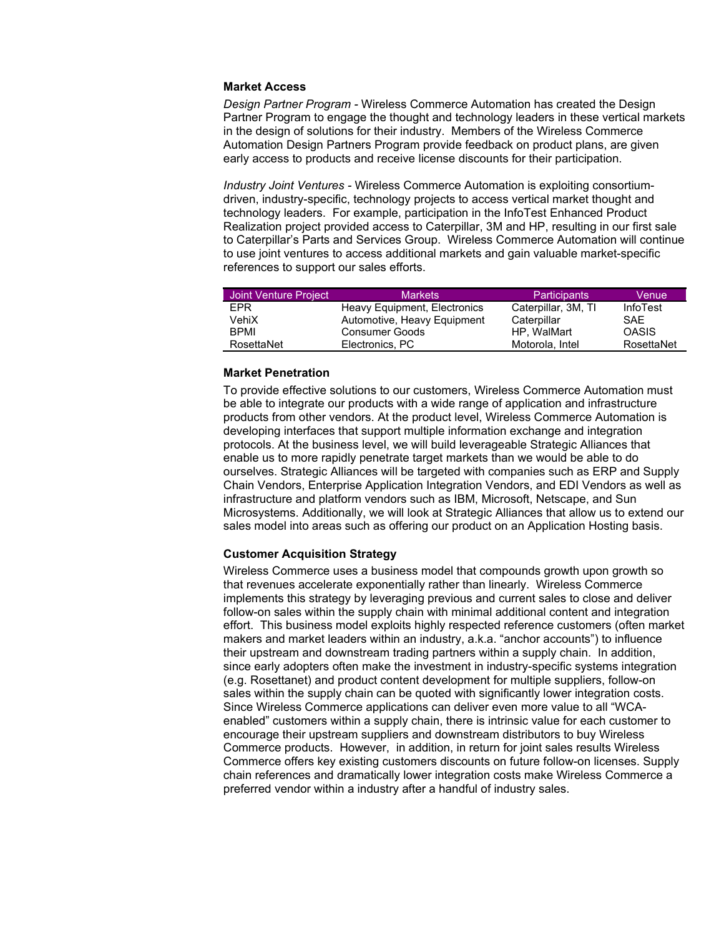#### **Market Access**

*Design Partner Program -* Wireless Commerce Automation has created the Design Partner Program to engage the thought and technology leaders in these vertical markets in the design of solutions for their industry. Members of the Wireless Commerce Automation Design Partners Program provide feedback on product plans, are given early access to products and receive license discounts for their participation.

*Industry Joint Ventures -* Wireless Commerce Automation is exploiting consortiumdriven, industry-specific, technology projects to access vertical market thought and technology leaders. For example, participation in the InfoTest Enhanced Product Realization project provided access to Caterpillar, 3M and HP, resulting in our first sale to Caterpillar's Parts and Services Group. Wireless Commerce Automation will continue to use joint ventures to access additional markets and gain valuable market-specific references to support our sales efforts.

| Joint Venture Project | <b>Markets</b>               | <b>Participants</b> | Venue           |
|-----------------------|------------------------------|---------------------|-----------------|
| EPR                   | Heavy Equipment, Electronics | Caterpillar, 3M, TI | <b>InfoTest</b> |
| VehiX                 | Automotive, Heavy Equipment  | Caterpillar         | SAE.            |
| <b>BPMI</b>           | Consumer Goods               | HP. WalMart         | <b>OASIS</b>    |
| RosettaNet            | Electronics, PC              | Motorola, Intel     | RosettaNet      |

#### **Market Penetration**

To provide effective solutions to our customers, Wireless Commerce Automation must be able to integrate our products with a wide range of application and infrastructure products from other vendors. At the product level, Wireless Commerce Automation is developing interfaces that support multiple information exchange and integration protocols. At the business level, we will build leverageable Strategic Alliances that enable us to more rapidly penetrate target markets than we would be able to do ourselves. Strategic Alliances will be targeted with companies such as ERP and Supply Chain Vendors, Enterprise Application Integration Vendors, and EDI Vendors as well as infrastructure and platform vendors such as IBM, Microsoft, Netscape, and Sun Microsystems. Additionally, we will look at Strategic Alliances that allow us to extend our sales model into areas such as offering our product on an Application Hosting basis.

#### **Customer Acquisition Strategy**

Wireless Commerce uses a business model that compounds growth upon growth so that revenues accelerate exponentially rather than linearly. Wireless Commerce implements this strategy by leveraging previous and current sales to close and deliver follow-on sales within the supply chain with minimal additional content and integration effort. This business model exploits highly respected reference customers (often market makers and market leaders within an industry, a.k.a. "anchor accounts") to influence their upstream and downstream trading partners within a supply chain. In addition, since early adopters often make the investment in industry-specific systems integration (e.g. Rosettanet) and product content development for multiple suppliers, follow-on sales within the supply chain can be quoted with significantly lower integration costs. Since Wireless Commerce applications can deliver even more value to all "WCAenabled" customers within a supply chain, there is intrinsic value for each customer to encourage their upstream suppliers and downstream distributors to buy Wireless Commerce products. However, in addition, in return for joint sales results Wireless Commerce offers key existing customers discounts on future follow-on licenses. Supply chain references and dramatically lower integration costs make Wireless Commerce a preferred vendor within a industry after a handful of industry sales.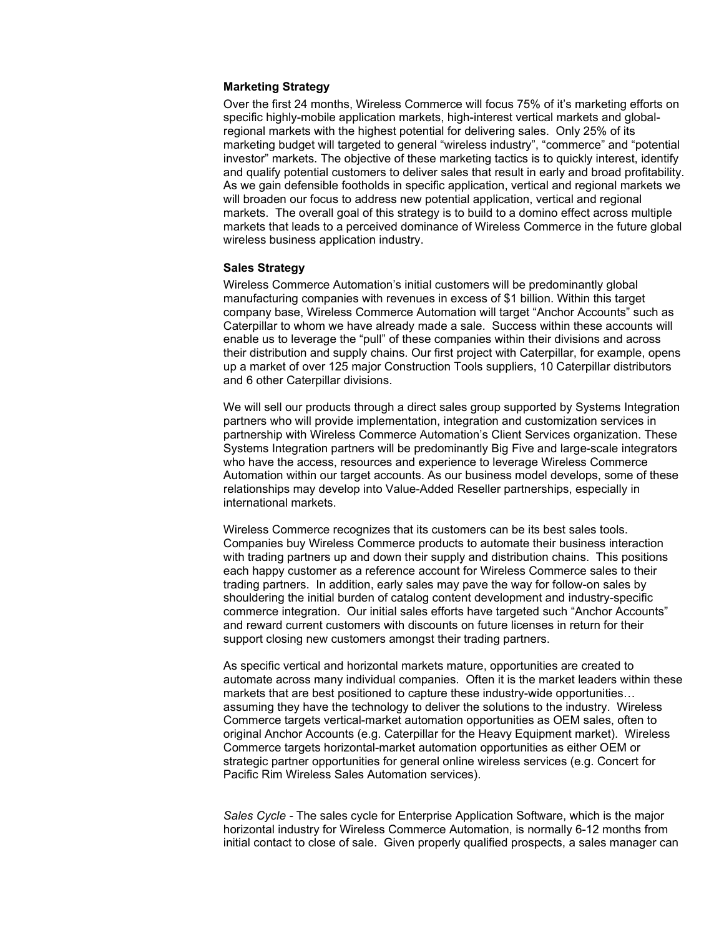#### **Marketing Strategy**

Over the first 24 months, Wireless Commerce will focus 75% of it's marketing efforts on specific highly-mobile application markets, high-interest vertical markets and globalregional markets with the highest potential for delivering sales. Only 25% of its marketing budget will targeted to general "wireless industry", "commerce" and "potential investor" markets. The objective of these marketing tactics is to quickly interest, identify and qualify potential customers to deliver sales that result in early and broad profitability. As we gain defensible footholds in specific application, vertical and regional markets we will broaden our focus to address new potential application, vertical and regional markets. The overall goal of this strategy is to build to a domino effect across multiple markets that leads to a perceived dominance of Wireless Commerce in the future global wireless business application industry.

## **Sales Strategy**

Wireless Commerce Automation's initial customers will be predominantly global manufacturing companies with revenues in excess of \$1 billion. Within this target company base, Wireless Commerce Automation will target "Anchor Accounts" such as Caterpillar to whom we have already made a sale. Success within these accounts will enable us to leverage the "pull" of these companies within their divisions and across their distribution and supply chains. Our first project with Caterpillar, for example, opens up a market of over 125 major Construction Tools suppliers, 10 Caterpillar distributors and 6 other Caterpillar divisions.

We will sell our products through a direct sales group supported by Systems Integration partners who will provide implementation, integration and customization services in partnership with Wireless Commerce Automation's Client Services organization. These Systems Integration partners will be predominantly Big Five and large-scale integrators who have the access, resources and experience to leverage Wireless Commerce Automation within our target accounts. As our business model develops, some of these relationships may develop into Value-Added Reseller partnerships, especially in international markets.

Wireless Commerce recognizes that its customers can be its best sales tools. Companies buy Wireless Commerce products to automate their business interaction with trading partners up and down their supply and distribution chains. This positions each happy customer as a reference account for Wireless Commerce sales to their trading partners. In addition, early sales may pave the way for follow-on sales by shouldering the initial burden of catalog content development and industry-specific commerce integration. Our initial sales efforts have targeted such "Anchor Accounts" and reward current customers with discounts on future licenses in return for their support closing new customers amongst their trading partners.

As specific vertical and horizontal markets mature, opportunities are created to automate across many individual companies. Often it is the market leaders within these markets that are best positioned to capture these industry-wide opportunities… assuming they have the technology to deliver the solutions to the industry. Wireless Commerce targets vertical-market automation opportunities as OEM sales, often to original Anchor Accounts (e.g. Caterpillar for the Heavy Equipment market). Wireless Commerce targets horizontal-market automation opportunities as either OEM or strategic partner opportunities for general online wireless services (e.g. Concert for Pacific Rim Wireless Sales Automation services).

*Sales Cycle -* The sales cycle for Enterprise Application Software, which is the major horizontal industry for Wireless Commerce Automation, is normally 6-12 months from initial contact to close of sale. Given properly qualified prospects, a sales manager can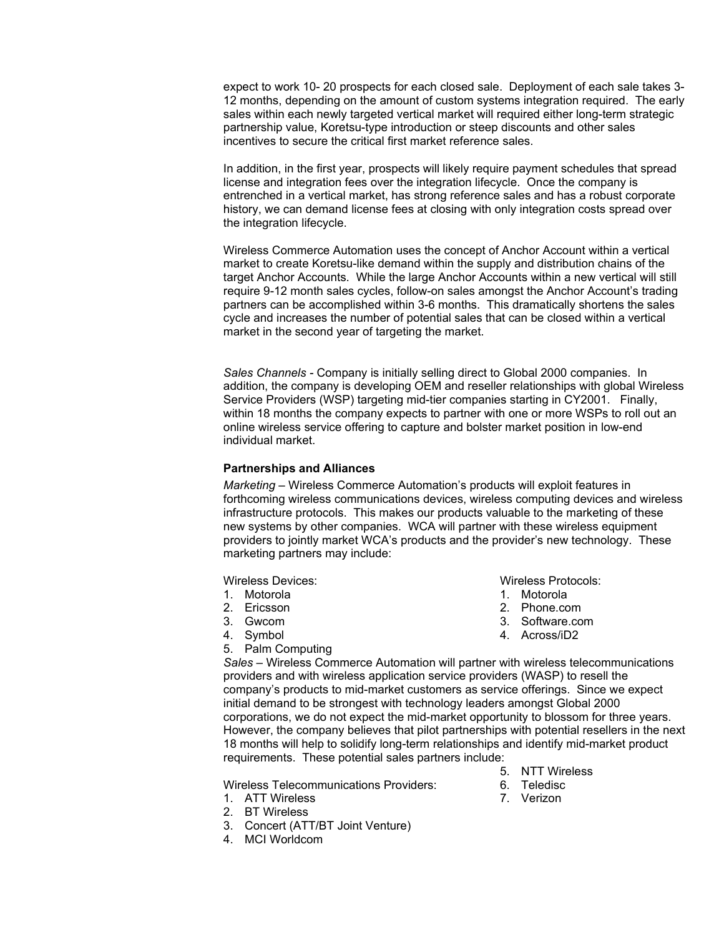expect to work 10- 20 prospects for each closed sale. Deployment of each sale takes 3- 12 months, depending on the amount of custom systems integration required. The early sales within each newly targeted vertical market will required either long-term strategic partnership value, Koretsu-type introduction or steep discounts and other sales incentives to secure the critical first market reference sales.

In addition, in the first year, prospects will likely require payment schedules that spread license and integration fees over the integration lifecycle. Once the company is entrenched in a vertical market, has strong reference sales and has a robust corporate history, we can demand license fees at closing with only integration costs spread over the integration lifecycle.

Wireless Commerce Automation uses the concept of Anchor Account within a vertical market to create Koretsu-like demand within the supply and distribution chains of the target Anchor Accounts. While the large Anchor Accounts within a new vertical will still require 9-12 month sales cycles, follow-on sales amongst the Anchor Account's trading partners can be accomplished within 3-6 months. This dramatically shortens the sales cycle and increases the number of potential sales that can be closed within a vertical market in the second year of targeting the market.

*Sales Channels -* Company is initially selling direct to Global 2000 companies. In addition, the company is developing OEM and reseller relationships with global Wireless Service Providers (WSP) targeting mid-tier companies starting in CY2001. Finally, within 18 months the company expects to partner with one or more WSPs to roll out an online wireless service offering to capture and bolster market position in low-end individual market.

#### **Partnerships and Alliances**

*Marketing –* Wireless Commerce Automation's products will exploit features in forthcoming wireless communications devices, wireless computing devices and wireless infrastructure protocols. This makes our products valuable to the marketing of these new systems by other companies. WCA will partner with these wireless equipment providers to jointly market WCA's products and the provider's new technology. These marketing partners may include:

Wireless Devices:

- 1. Motorola
- 2. Ericsson
- 3. Gwcom
- 4. Symbol
- 5. Palm Computing

Wireless Protocols:

- 1. Motorola
- 2. Phone.com
- 3. Software.com
- 4. Across/iD2

*Sales –* Wireless Commerce Automation will partner with wireless telecommunications providers and with wireless application service providers (WASP) to resell the company's products to mid-market customers as service offerings. Since we expect initial demand to be strongest with technology leaders amongst Global 2000 corporations, we do not expect the mid-market opportunity to blossom for three years. However, the company believes that pilot partnerships with potential resellers in the next 18 months will help to solidify long-term relationships and identify mid-market product requirements. These potential sales partners include:

Wireless Telecommunications Providers:

- 1. ATT Wireless
- 2. BT Wireless
- 3. Concert (ATT/BT Joint Venture)
- 4. MCI Worldcom
- 5. NTT Wireless
- 6. Teledisc
- 7. Verizon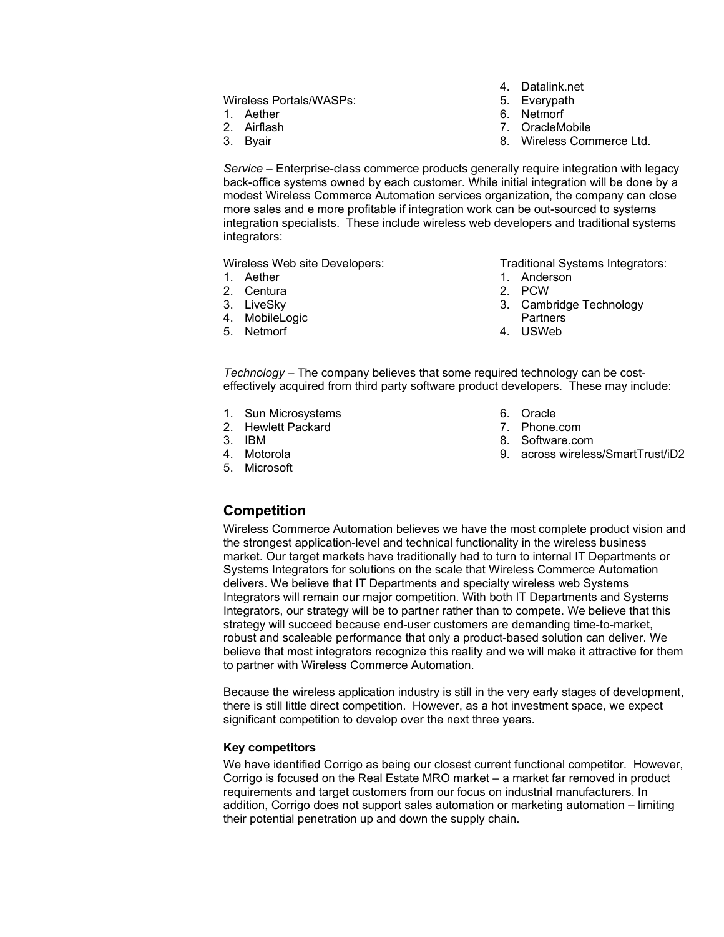## Wireless Portals/WASPs:

- 1. Aether
- 2. Airflash
- 3. Byair
- 4. Datalink.net
- 5. Everypath
- 6. Netmorf
- 7. OracleMobile
- 8. Wireless Commerce Ltd.

*Service –* Enterprise-class commerce products generally require integration with legacy back-office systems owned by each customer. While initial integration will be done by a modest Wireless Commerce Automation services organization, the company can close more sales and e more profitable if integration work can be out-sourced to systems integration specialists. These include wireless web developers and traditional systems integrators:

Wireless Web site Developers:

- 1. Aether
- 2. Centura
- 3. LiveSky
- 4. MobileLogic
- 5. Netmorf

Traditional Systems Integrators:

- 1. Anderson
- 2. PCW
- 3. Cambridge Technology **Partners**
- 4. USWeb

*Technology –* The company believes that some required technology can be costeffectively acquired from third party software product developers. These may include:

- 1. Sun Microsystems
- 2. Hewlett Packard
- 3. IBM
- 4. Motorola
- 5. Microsoft
- 6. Oracle
- 7. Phone.com
- 8. Software.com
- 9. across wireless/SmartTrust/iD2

# **Competition**

Wireless Commerce Automation believes we have the most complete product vision and the strongest application-level and technical functionality in the wireless business market. Our target markets have traditionally had to turn to internal IT Departments or Systems Integrators for solutions on the scale that Wireless Commerce Automation delivers. We believe that IT Departments and specialty wireless web Systems Integrators will remain our major competition. With both IT Departments and Systems Integrators, our strategy will be to partner rather than to compete. We believe that this strategy will succeed because end-user customers are demanding time-to-market, robust and scaleable performance that only a product-based solution can deliver. We believe that most integrators recognize this reality and we will make it attractive for them to partner with Wireless Commerce Automation.

Because the wireless application industry is still in the very early stages of development, there is still little direct competition. However, as a hot investment space, we expect significant competition to develop over the next three years.

### **Key competitors**

We have identified Corrigo as being our closest current functional competitor. However, Corrigo is focused on the Real Estate MRO market – a market far removed in product requirements and target customers from our focus on industrial manufacturers. In addition, Corrigo does not support sales automation or marketing automation – limiting their potential penetration up and down the supply chain.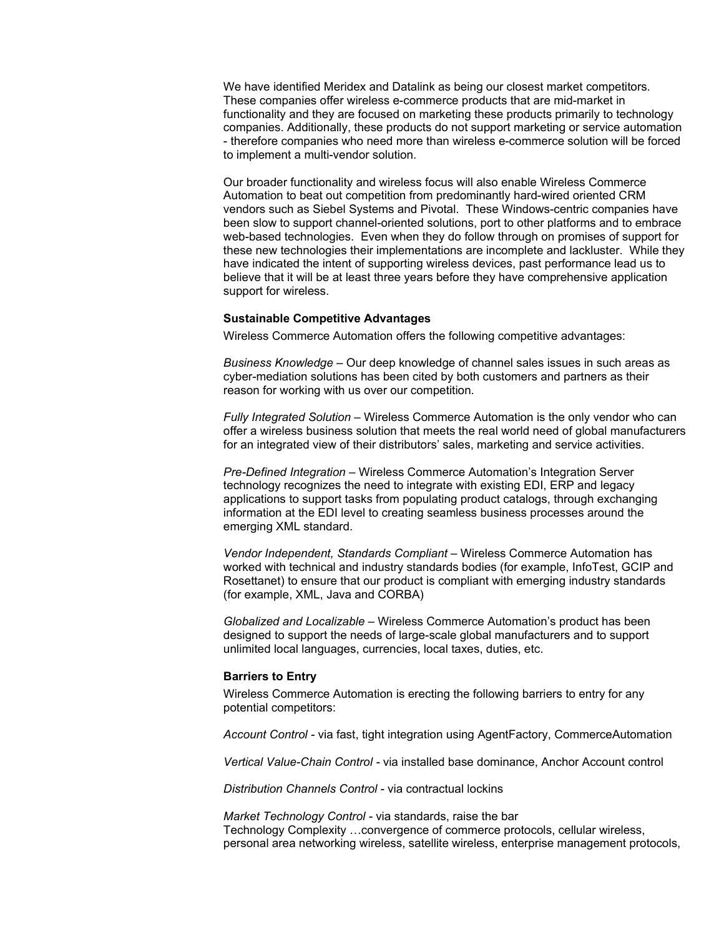We have identified Meridex and Datalink as being our closest market competitors. These companies offer wireless e-commerce products that are mid-market in functionality and they are focused on marketing these products primarily to technology companies. Additionally, these products do not support marketing or service automation - therefore companies who need more than wireless e-commerce solution will be forced to implement a multi-vendor solution.

Our broader functionality and wireless focus will also enable Wireless Commerce Automation to beat out competition from predominantly hard-wired oriented CRM vendors such as Siebel Systems and Pivotal. These Windows-centric companies have been slow to support channel-oriented solutions, port to other platforms and to embrace web-based technologies. Even when they do follow through on promises of support for these new technologies their implementations are incomplete and lackluster. While they have indicated the intent of supporting wireless devices, past performance lead us to believe that it will be at least three years before they have comprehensive application support for wireless.

#### **Sustainable Competitive Advantages**

Wireless Commerce Automation offers the following competitive advantages:

*Business Knowledge –* Our deep knowledge of channel sales issues in such areas as cyber-mediation solutions has been cited by both customers and partners as their reason for working with us over our competition.

*Fully Integrated Solution* – Wireless Commerce Automation is the only vendor who can offer a wireless business solution that meets the real world need of global manufacturers for an integrated view of their distributors' sales, marketing and service activities.

*Pre-Defined Integration –* Wireless Commerce Automation's Integration Server technology recognizes the need to integrate with existing EDI, ERP and legacy applications to support tasks from populating product catalogs, through exchanging information at the EDI level to creating seamless business processes around the emerging XML standard.

*Vendor Independent, Standards Compliant –* Wireless Commerce Automation has worked with technical and industry standards bodies (for example, InfoTest, GCIP and Rosettanet) to ensure that our product is compliant with emerging industry standards (for example, XML, Java and CORBA)

*Globalized and Localizable –* Wireless Commerce Automation's product has been designed to support the needs of large-scale global manufacturers and to support unlimited local languages, currencies, local taxes, duties, etc.

#### **Barriers to Entry**

Wireless Commerce Automation is erecting the following barriers to entry for any potential competitors:

*Account Control -* via fast, tight integration using AgentFactory, CommerceAutomation

*Vertical Value-Chain Control -* via installed base dominance, Anchor Account control

*Distribution Channels Control -* via contractual lockins

*Market Technology Control -* via standards, raise the bar Technology Complexity …convergence of commerce protocols, cellular wireless, personal area networking wireless, satellite wireless, enterprise management protocols,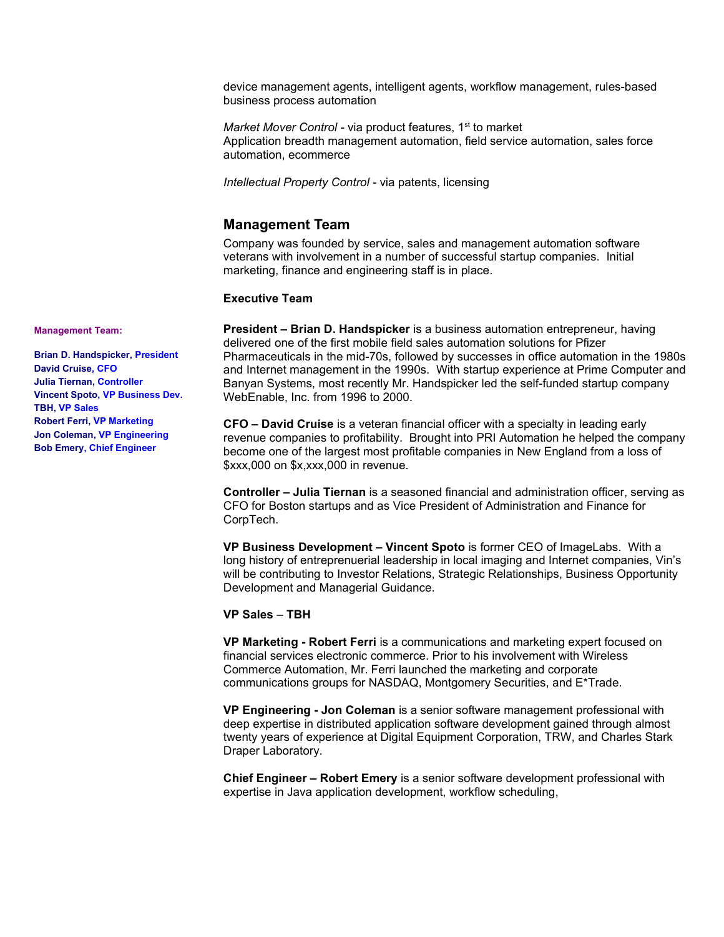device management agents, intelligent agents, workflow management, rules-based business process automation

Market Mover Control - via product features, 1<sup>st</sup> to market Application breadth management automation, field service automation, sales force automation, ecommerce

*Intellectual Property Control -* via patents, licensing

# **Management Team**

Company was founded by service, sales and management automation software veterans with involvement in a number of successful startup companies. Initial marketing, finance and engineering staff is in place.

#### **Executive Team**

**President – Brian D. Handspicker** is a business automation entrepreneur, having delivered one of the first mobile field sales automation solutions for Pfizer Pharmaceuticals in the mid-70s, followed by successes in office automation in the 1980s and Internet management in the 1990s. With startup experience at Prime Computer and Banyan Systems, most recently Mr. Handspicker led the self-funded startup company WebEnable, Inc. from 1996 to 2000.

**CFO – David Cruise** is a veteran financial officer with a specialty in leading early revenue companies to profitability. Brought into PRI Automation he helped the company become one of the largest most profitable companies in New England from a loss of \$xxx,000 on \$x,xxx,000 in revenue.

**Controller – Julia Tiernan** is a seasoned financial and administration officer, serving as CFO for Boston startups and as Vice President of Administration and Finance for CorpTech.

**VP Business Development – Vincent Spoto** is former CEO of ImageLabs. With a long history of entreprenuerial leadership in local imaging and Internet companies, Vin's will be contributing to Investor Relations, Strategic Relationships, Business Opportunity Development and Managerial Guidance.

#### **VP Sales** – **TBH**

**VP Marketing - Robert Ferri** is a communications and marketing expert focused on financial services electronic commerce. Prior to his involvement with Wireless Commerce Automation, Mr. Ferri launched the marketing and corporate communications groups for NASDAQ, Montgomery Securities, and E\*Trade.

**VP Engineering - Jon Coleman** is a senior software management professional with deep expertise in distributed application software development gained through almost twenty years of experience at Digital Equipment Corporation, TRW, and Charles Stark Draper Laboratory.

**Chief Engineer – Robert Emery** is a senior software development professional with expertise in Java application development, workflow scheduling,

**Management Team:**

**Brian D. Handspicker, President David Cruise, CFO Julia Tiernan, Controller Vincent Spoto, VP Business Dev. TBH, VP Sales Robert Ferri, VP Marketing Jon Coleman, VP Engineering Bob Emery, Chief Engineer**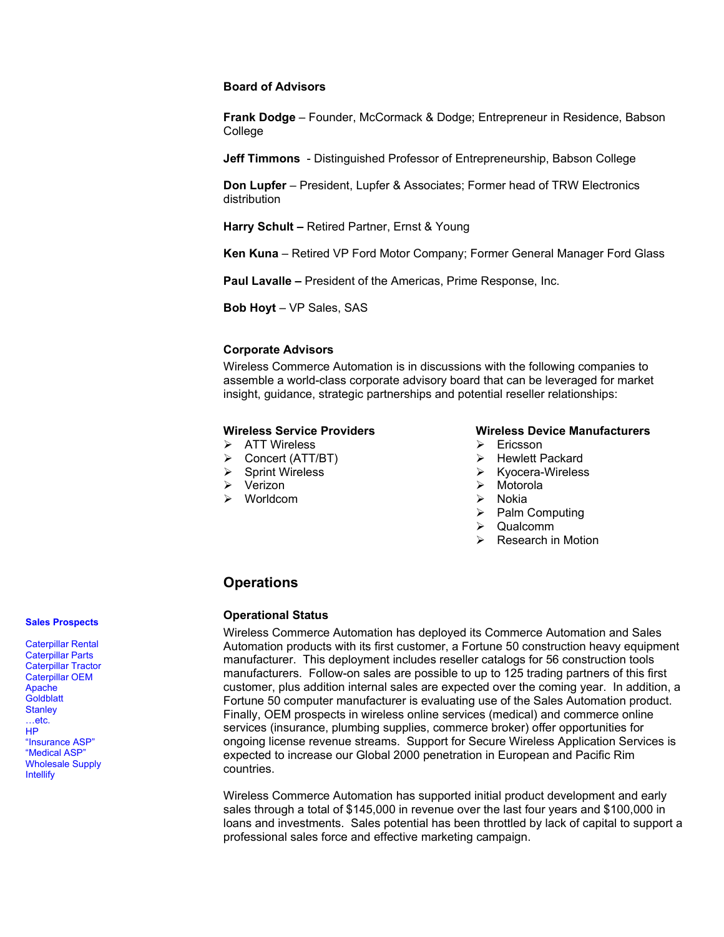#### **Board of Advisors**

**Frank Dodge** – Founder, McCormack & Dodge; Entrepreneur in Residence, Babson College

**Jeff Timmons** - Distinguished Professor of Entrepreneurship, Babson College

**Don Lupfer** – President, Lupfer & Associates; Former head of TRW Electronics distribution

**Harry Schult –** Retired Partner, Ernst & Young

**Ken Kuna** – Retired VP Ford Motor Company; Former General Manager Ford Glass

**Paul Lavalle –** President of the Americas, Prime Response, Inc.

**Bob Hoyt** – VP Sales, SAS

## **Corporate Advisors**

Wireless Commerce Automation is in discussions with the following companies to assemble a world-class corporate advisory board that can be leveraged for market insight, guidance, strategic partnerships and potential reseller relationships:

#### **Wireless Service Providers**

- > ATT Wireless
- Concert (ATT/BT)
- $\triangleright$  Sprint Wireless
- Verizon
- Worldcom

#### **Wireless Device Manufacturers**

- $\triangleright$  Ericsson
- $\triangleright$  Hewlett Packard
- $\triangleright$  Kyocera-Wireless
- $\triangleright$  Motorola
- Nokia
- $\triangleright$  Palm Computing
- $\triangleright$  Qualcomm
- $\triangleright$  Research in Motion

# **Operations**

#### **Operational Status**

Wireless Commerce Automation has deployed its Commerce Automation and Sales Automation products with its first customer, a Fortune 50 construction heavy equipment manufacturer. This deployment includes reseller catalogs for 56 construction tools manufacturers. Follow-on sales are possible to up to 125 trading partners of this first customer, plus addition internal sales are expected over the coming year. In addition, a Fortune 50 computer manufacturer is evaluating use of the Sales Automation product. Finally, OEM prospects in wireless online services (medical) and commerce online services (insurance, plumbing supplies, commerce broker) offer opportunities for ongoing license revenue streams. Support for Secure Wireless Application Services is expected to increase our Global 2000 penetration in European and Pacific Rim countries.

Wireless Commerce Automation has supported initial product development and early sales through a total of \$145,000 in revenue over the last four years and \$100,000 in loans and investments. Sales potential has been throttled by lack of capital to support a professional sales force and effective marketing campaign.

#### **Sales Prospects**

Caterpillar Rental Caterpillar Parts Caterpillar Tractor Caterpillar OEM Apache **Goldblatt Stanley** …etc. HP "Insurance ASP" "Medical ASP" Wholesale Supply Intellify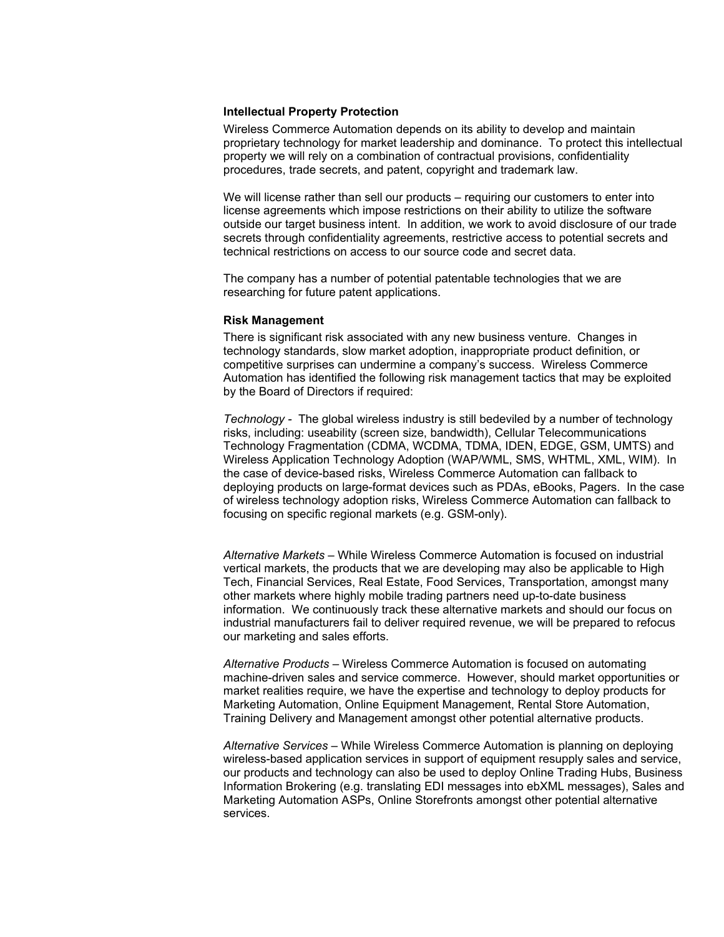#### **Intellectual Property Protection**

Wireless Commerce Automation depends on its ability to develop and maintain proprietary technology for market leadership and dominance. To protect this intellectual property we will rely on a combination of contractual provisions, confidentiality procedures, trade secrets, and patent, copyright and trademark law.

We will license rather than sell our products – requiring our customers to enter into license agreements which impose restrictions on their ability to utilize the software outside our target business intent. In addition, we work to avoid disclosure of our trade secrets through confidentiality agreements, restrictive access to potential secrets and technical restrictions on access to our source code and secret data.

The company has a number of potential patentable technologies that we are researching for future patent applications.

#### **Risk Management**

There is significant risk associated with any new business venture. Changes in technology standards, slow market adoption, inappropriate product definition, or competitive surprises can undermine a company's success. Wireless Commerce Automation has identified the following risk management tactics that may be exploited by the Board of Directors if required:

*Technology -* The global wireless industry is still bedeviled by a number of technology risks, including: useability (screen size, bandwidth), Cellular Telecommunications Technology Fragmentation (CDMA, WCDMA, TDMA, IDEN, EDGE, GSM, UMTS) and Wireless Application Technology Adoption (WAP/WML, SMS, WHTML, XML, WIM). In the case of device-based risks, Wireless Commerce Automation can fallback to deploying products on large-format devices such as PDAs, eBooks, Pagers. In the case of wireless technology adoption risks, Wireless Commerce Automation can fallback to focusing on specific regional markets (e.g. GSM-only).

*Alternative Markets –* While Wireless Commerce Automation is focused on industrial vertical markets, the products that we are developing may also be applicable to High Tech, Financial Services, Real Estate, Food Services, Transportation, amongst many other markets where highly mobile trading partners need up-to-date business information. We continuously track these alternative markets and should our focus on industrial manufacturers fail to deliver required revenue, we will be prepared to refocus our marketing and sales efforts.

*Alternative Products –* Wireless Commerce Automation is focused on automating machine-driven sales and service commerce. However, should market opportunities or market realities require, we have the expertise and technology to deploy products for Marketing Automation, Online Equipment Management, Rental Store Automation, Training Delivery and Management amongst other potential alternative products.

*Alternative Services –* While Wireless Commerce Automation is planning on deploying wireless-based application services in support of equipment resupply sales and service, our products and technology can also be used to deploy Online Trading Hubs, Business Information Brokering (e.g. translating EDI messages into ebXML messages), Sales and Marketing Automation ASPs, Online Storefronts amongst other potential alternative services.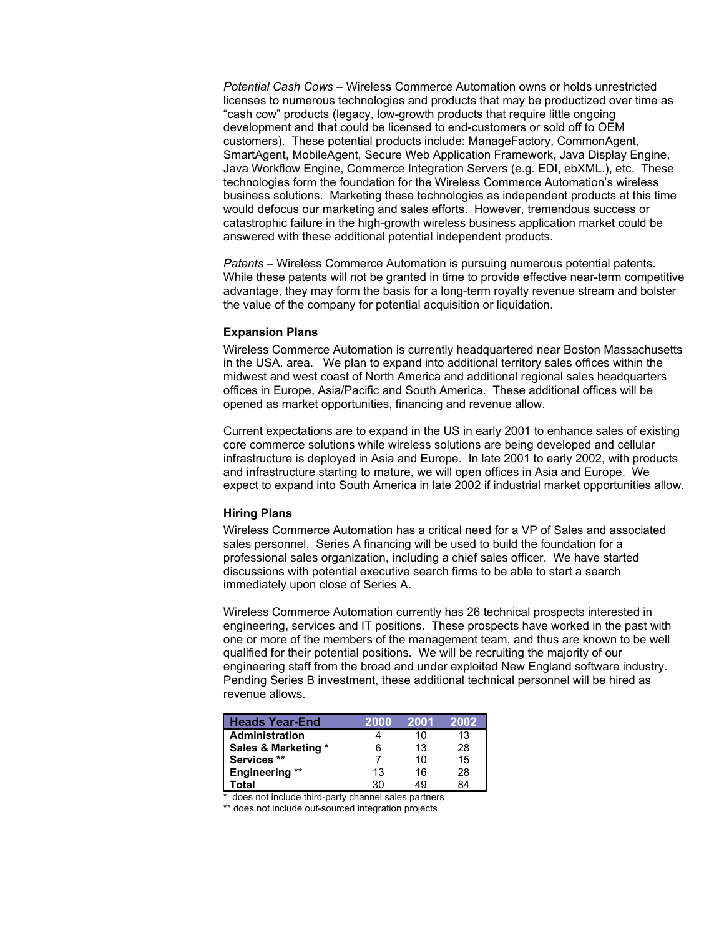*Potential Cash Cows –* Wireless Commerce Automation owns or holds unrestricted licenses to numerous technologies and products that may be productized over time as "cash cow" products (legacy, low-growth products that require little ongoing development and that could be licensed to end-customers or sold off to OEM customers). These potential products include: ManageFactory, CommonAgent, SmartAgent, MobileAgent, Secure Web Application Framework, Java Display Engine, Java Workflow Engine, Commerce Integration Servers (e.g. EDI, ebXML.), etc. These technologies form the foundation for the Wireless Commerce Automation's wireless business solutions. Marketing these technologies as independent products at this time would defocus our marketing and sales efforts. However, tremendous success or catastrophic failure in the high-growth wireless business application market could be answered with these additional potential independent products.

*Patents –* Wireless Commerce Automation is pursuing numerous potential patents. While these patents will not be granted in time to provide effective near-term competitive advantage, they may form the basis for a long-term royalty revenue stream and bolster the value of the company for potential acquisition or liquidation.

#### **Expansion Plans**

Wireless Commerce Automation is currently headquartered near Boston Massachusetts in the USA. area. We plan to expand into additional territory sales offices within the midwest and west coast of North America and additional regional sales headquarters offices in Europe, Asia/Pacific and South America. These additional offices will be opened as market opportunities, financing and revenue allow.

Current expectations are to expand in the US in early 2001 to enhance sales of existing core commerce solutions while wireless solutions are being developed and cellular infrastructure is deployed in Asia and Europe. In late 2001 to early 2002, with products and infrastructure starting to mature, we will open offices in Asia and Europe. We expect to expand into South America in late 2002 if industrial market opportunities allow.

#### **Hiring Plans**

Wireless Commerce Automation has a critical need for a VP of Sales and associated sales personnel. Series A financing will be used to build the foundation for a professional sales organization, including a chief sales officer. We have started discussions with potential executive search firms to be able to start a search immediately upon close of Series A.

Wireless Commerce Automation currently has 26 technical prospects interested in engineering, services and IT positions. These prospects have worked in the past with one or more of the members of the management team, and thus are known to be well qualified for their potential positions. We will be recruiting the majority of our engineering staff from the broad and under exploited New England software industry. Pending Series B investment, these additional technical personnel will be hired as revenue allows.

| <b>Heads Year-End</b> | 2000 | 2001 | 2002 |
|-----------------------|------|------|------|
| ∣ Administration      |      | 10   | 13   |
| Sales & Marketing *   | 6    | 13   | 28   |
| Services **           |      | 10   | 15   |
| <b>Engineering **</b> | 13   | 16   | 28   |
| Total                 | 30   | 49   | 84   |

\* does not include third-party channel sales partners

\*\* does not include out-sourced integration projects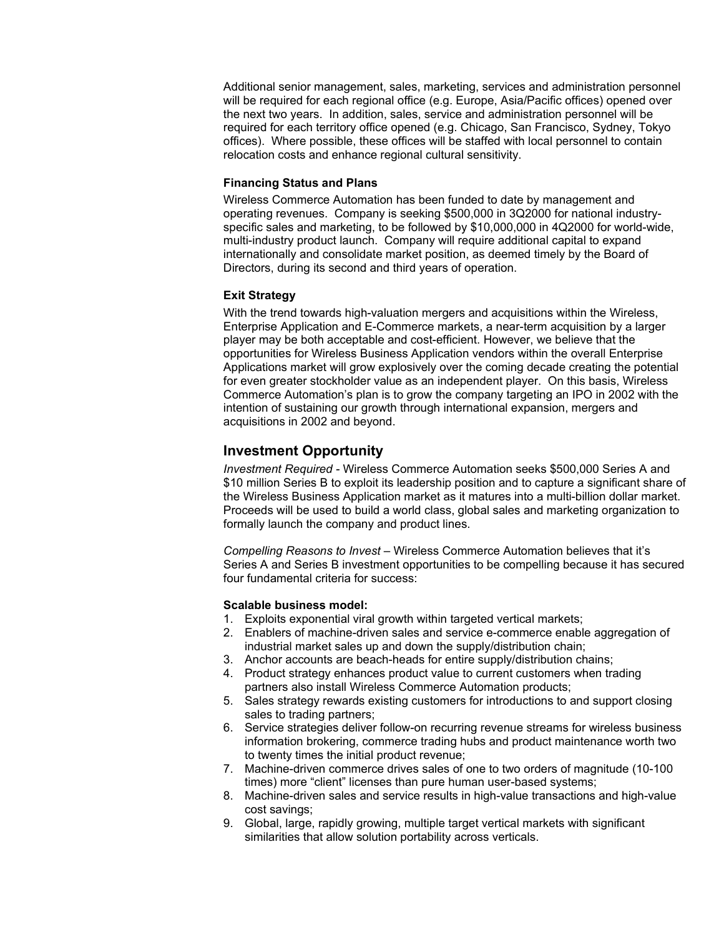Additional senior management, sales, marketing, services and administration personnel will be required for each regional office (e.g. Europe, Asia/Pacific offices) opened over the next two years. In addition, sales, service and administration personnel will be required for each territory office opened (e.g. Chicago, San Francisco, Sydney, Tokyo offices). Where possible, these offices will be staffed with local personnel to contain relocation costs and enhance regional cultural sensitivity.

### **Financing Status and Plans**

Wireless Commerce Automation has been funded to date by management and operating revenues. Company is seeking \$500,000 in 3Q2000 for national industryspecific sales and marketing, to be followed by \$10,000,000 in 4Q2000 for world-wide, multi-industry product launch. Company will require additional capital to expand internationally and consolidate market position, as deemed timely by the Board of Directors, during its second and third years of operation.

#### **Exit Strategy**

With the trend towards high-valuation mergers and acquisitions within the Wireless, Enterprise Application and E-Commerce markets, a near-term acquisition by a larger player may be both acceptable and cost-efficient. However, we believe that the opportunities for Wireless Business Application vendors within the overall Enterprise Applications market will grow explosively over the coming decade creating the potential for even greater stockholder value as an independent player. On this basis, Wireless Commerce Automation's plan is to grow the company targeting an IPO in 2002 with the intention of sustaining our growth through international expansion, mergers and acquisitions in 2002 and beyond.

# **Investment Opportunity**

*Investment Required -* Wireless Commerce Automation seeks \$500,000 Series A and \$10 million Series B to exploit its leadership position and to capture a significant share of the Wireless Business Application market as it matures into a multi-billion dollar market. Proceeds will be used to build a world class, global sales and marketing organization to formally launch the company and product lines.

*Compelling Reasons to Invest –* Wireless Commerce Automation believes that it's Series A and Series B investment opportunities to be compelling because it has secured four fundamental criteria for success:

#### **Scalable business model:**

- 1. Exploits exponential viral growth within targeted vertical markets;
- 2. Enablers of machine-driven sales and service e-commerce enable aggregation of industrial market sales up and down the supply/distribution chain;
- 3. Anchor accounts are beach-heads for entire supply/distribution chains;
- 4. Product strategy enhances product value to current customers when trading partners also install Wireless Commerce Automation products;
- 5. Sales strategy rewards existing customers for introductions to and support closing sales to trading partners;
- 6. Service strategies deliver follow-on recurring revenue streams for wireless business information brokering, commerce trading hubs and product maintenance worth two to twenty times the initial product revenue;
- 7. Machine-driven commerce drives sales of one to two orders of magnitude (10-100 times) more "client" licenses than pure human user-based systems;
- 8. Machine-driven sales and service results in high-value transactions and high-value cost savings;
- 9. Global, large, rapidly growing, multiple target vertical markets with significant similarities that allow solution portability across verticals.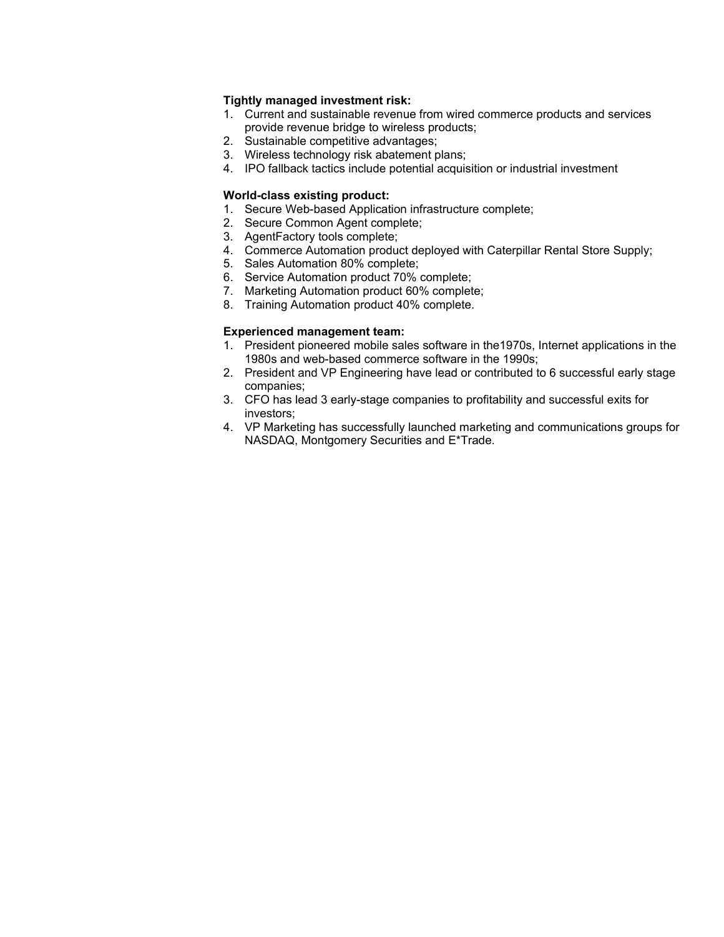## **Tightly managed investment risk:**

- 1. Current and sustainable revenue from wired commerce products and services provide revenue bridge to wireless products;
- 2. Sustainable competitive advantages;
- 3. Wireless technology risk abatement plans;
- 4. IPO fallback tactics include potential acquisition or industrial investment

#### **World-class existing product:**

- 1. Secure Web-based Application infrastructure complete;
- 2. Secure Common Agent complete;
- 3. AgentFactory tools complete;
- 4. Commerce Automation product deployed with Caterpillar Rental Store Supply;
- 5. Sales Automation 80% complete;
- 6. Service Automation product 70% complete;
- 7. Marketing Automation product 60% complete;
- 8. Training Automation product 40% complete.

## **Experienced management team:**

- 1. President pioneered mobile sales software in the1970s, Internet applications in the 1980s and web-based commerce software in the 1990s;
- 2. President and VP Engineering have lead or contributed to 6 successful early stage companies;
- 3. CFO has lead 3 early-stage companies to profitability and successful exits for investors;
- 4. VP Marketing has successfully launched marketing and communications groups for NASDAQ, Montgomery Securities and E\*Trade.